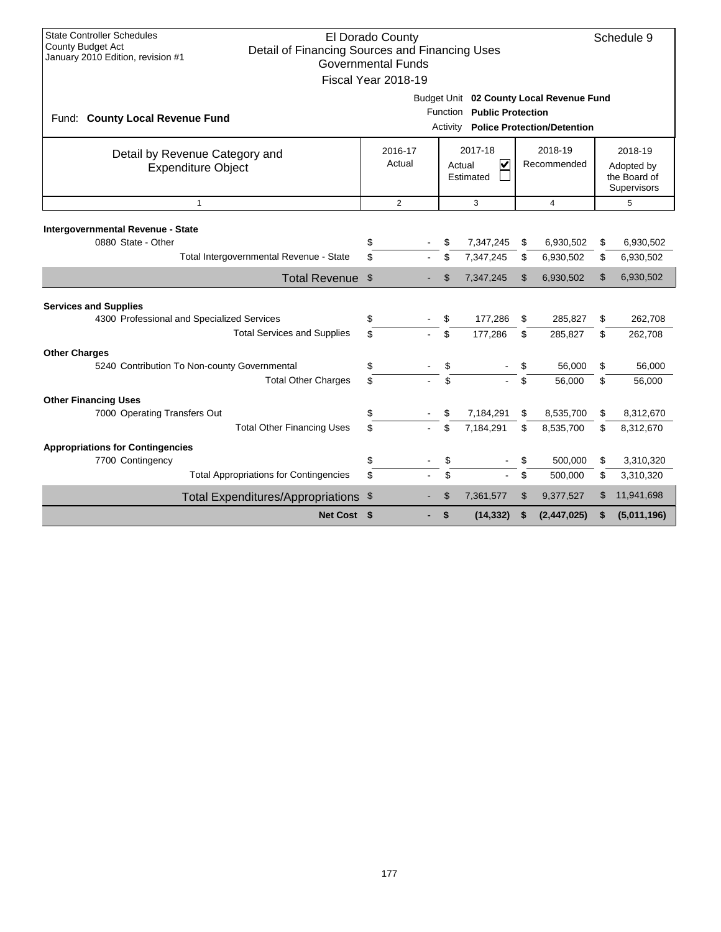| <b>State Controller Schedules</b><br>El Dorado County<br>County Budget Act<br>Detail of Financing Sources and Financing Uses<br>January 2010 Edition, revision #1<br><b>Governmental Funds</b><br>Fiscal Year 2018-19 |                                                                                                                          |                                                                                                          |  |  |     |           |    |             |    |                                                      |  |
|-----------------------------------------------------------------------------------------------------------------------------------------------------------------------------------------------------------------------|--------------------------------------------------------------------------------------------------------------------------|----------------------------------------------------------------------------------------------------------|--|--|-----|-----------|----|-------------|----|------------------------------------------------------|--|
| Fund: County Local Revenue Fund                                                                                                                                                                                       | Budget Unit 02 County Local Revenue Fund<br>Function Public Protection<br><b>Police Protection/Detention</b><br>Activity |                                                                                                          |  |  |     |           |    |             |    |                                                      |  |
| Detail by Revenue Category and<br><b>Expenditure Object</b>                                                                                                                                                           |                                                                                                                          | 2017-18<br>2016-17<br>2018-19<br>$\overline{\mathsf{v}}$<br>Actual<br>Recommended<br>Actual<br>Estimated |  |  |     |           |    |             |    | 2018-19<br>Adopted by<br>the Board of<br>Supervisors |  |
| $\mathbf{1}$                                                                                                                                                                                                          |                                                                                                                          | $\overline{2}$<br>5<br>3<br>$\overline{4}$                                                               |  |  |     |           |    |             |    |                                                      |  |
| Intergovernmental Revenue - State                                                                                                                                                                                     |                                                                                                                          |                                                                                                          |  |  |     |           |    |             |    |                                                      |  |
| 0880 State - Other                                                                                                                                                                                                    |                                                                                                                          | \$                                                                                                       |  |  | \$  | 7,347,245 | S  | 6,930,502   | \$ | 6,930,502                                            |  |
|                                                                                                                                                                                                                       | Total Intergovernmental Revenue - State                                                                                  | \$                                                                                                       |  |  | \$  | 7,347,245 | \$ | 6,930,502   | \$ | 6,930,502                                            |  |
|                                                                                                                                                                                                                       | Total Revenue \$                                                                                                         |                                                                                                          |  |  | \$  | 7,347,245 | \$ | 6,930,502   | \$ | 6,930,502                                            |  |
| <b>Services and Supplies</b>                                                                                                                                                                                          |                                                                                                                          |                                                                                                          |  |  |     |           |    |             |    |                                                      |  |
| 4300 Professional and Specialized Services                                                                                                                                                                            |                                                                                                                          | \$                                                                                                       |  |  | \$  | 177,286   | \$ | 285,827     | \$ | 262,708                                              |  |
|                                                                                                                                                                                                                       | <b>Total Services and Supplies</b>                                                                                       | \$                                                                                                       |  |  | \$  | 177,286   | \$ | 285,827     | \$ | 262,708                                              |  |
| <b>Other Charges</b>                                                                                                                                                                                                  |                                                                                                                          |                                                                                                          |  |  |     |           |    |             |    |                                                      |  |
| 5240 Contribution To Non-county Governmental                                                                                                                                                                          |                                                                                                                          | \$                                                                                                       |  |  | \$  |           | \$ | 56,000      | \$ | 56,000                                               |  |
|                                                                                                                                                                                                                       | <b>Total Other Charges</b>                                                                                               | \$                                                                                                       |  |  | \$. |           | \$ | 56,000      | \$ | 56,000                                               |  |
| <b>Other Financing Uses</b>                                                                                                                                                                                           |                                                                                                                          |                                                                                                          |  |  |     |           |    |             |    |                                                      |  |
| 7000 Operating Transfers Out                                                                                                                                                                                          |                                                                                                                          | \$                                                                                                       |  |  | \$  | 7,184,291 | \$ | 8,535,700   | \$ | 8,312,670                                            |  |
|                                                                                                                                                                                                                       | <b>Total Other Financing Uses</b>                                                                                        | \$                                                                                                       |  |  | \$  | 7,184,291 | \$ | 8,535,700   | \$ | 8,312,670                                            |  |
| <b>Appropriations for Contingencies</b>                                                                                                                                                                               |                                                                                                                          |                                                                                                          |  |  |     |           |    |             |    |                                                      |  |
| 7700 Contingency                                                                                                                                                                                                      |                                                                                                                          | \$                                                                                                       |  |  | \$  |           |    | 500,000     | \$ | 3,310,320                                            |  |
|                                                                                                                                                                                                                       | <b>Total Appropriations for Contingencies</b>                                                                            | \$                                                                                                       |  |  | \$  |           | \$ | 500,000     | \$ | 3,310,320                                            |  |
|                                                                                                                                                                                                                       | Total Expenditures/Appropriations \$                                                                                     |                                                                                                          |  |  | \$  | 7,361,577 | \$ | 9,377,527   | \$ | 11,941,698                                           |  |
|                                                                                                                                                                                                                       | Net Cost \$                                                                                                              |                                                                                                          |  |  | \$  | (14, 332) | \$ | (2,447,025) | \$ | (5,011,196)                                          |  |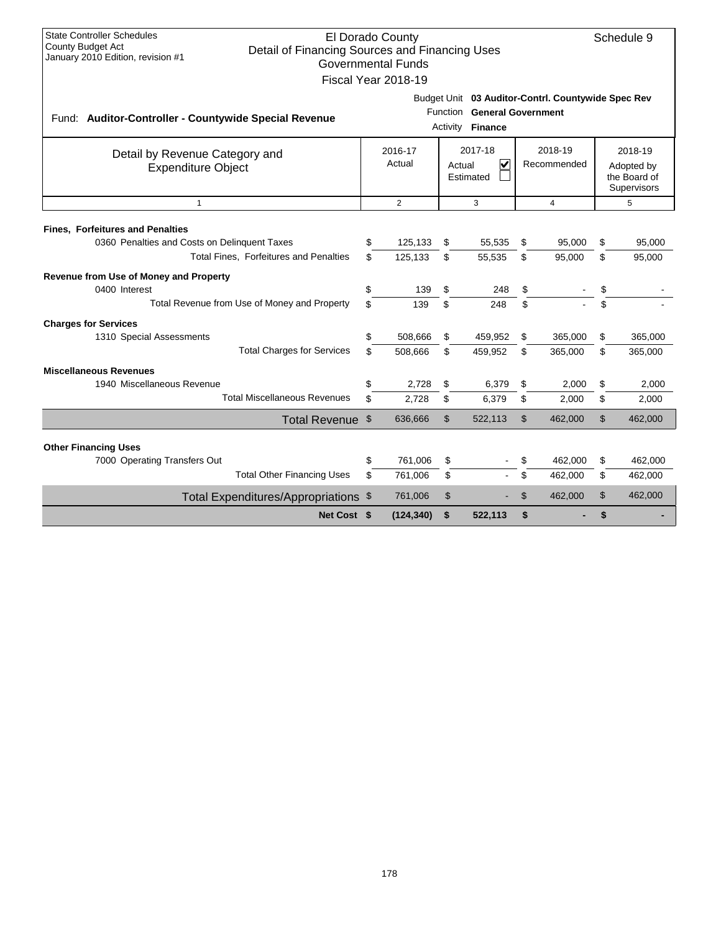| <b>State Controller Schedules</b><br><b>County Budget Act</b>                       |                  | El Dorado County          |                |                                                                                 |                |                |    | Schedule 9                  |
|-------------------------------------------------------------------------------------|------------------|---------------------------|----------------|---------------------------------------------------------------------------------|----------------|----------------|----|-----------------------------|
| Detail of Financing Sources and Financing Uses<br>January 2010 Edition, revision #1 |                  | <b>Governmental Funds</b> |                |                                                                                 |                |                |    |                             |
|                                                                                     |                  | Fiscal Year 2018-19       |                |                                                                                 |                |                |    |                             |
|                                                                                     |                  |                           |                |                                                                                 |                |                |    |                             |
|                                                                                     |                  |                           | Function       | Budget Unit 03 Auditor-Contrl. Countywide Spec Rev<br><b>General Government</b> |                |                |    |                             |
| Fund: Auditor-Controller - Countywide Special Revenue                               | Activity Finance |                           |                |                                                                                 |                |                |    |                             |
| Detail by Revenue Category and                                                      |                  | 2016-17                   |                | 2017-18                                                                         |                | 2018-19        |    | 2018-19                     |
| <b>Expenditure Object</b>                                                           |                  | Actual                    |                | $\overline{\mathbf{v}}$<br>Actual                                               |                | Recommended    |    | Adopted by                  |
|                                                                                     |                  |                           |                | Estimated                                                                       |                |                |    | the Board of<br>Supervisors |
| $\mathbf{1}$                                                                        |                  | $\overline{2}$            |                | 3                                                                               |                | $\overline{4}$ |    | 5                           |
| <b>Fines, Forfeitures and Penalties</b>                                             |                  |                           |                |                                                                                 |                |                |    |                             |
| 0360 Penalties and Costs on Delinquent Taxes                                        | \$               | 125,133                   | \$             | 55,535                                                                          | \$             | 95,000         | \$ | 95,000                      |
| Total Fines, Forfeitures and Penalties                                              | \$.              | 125,133                   | \$             | 55,535                                                                          | \$             | 95,000         | \$ | 95,000                      |
| Revenue from Use of Money and Property                                              |                  |                           |                |                                                                                 |                |                |    |                             |
| 0400 Interest                                                                       | \$               | 139                       | \$             | 248                                                                             | \$             |                | \$ |                             |
| Total Revenue from Use of Money and Property                                        | \$               | 139                       | \$             | 248                                                                             | \$             |                | \$ |                             |
| <b>Charges for Services</b>                                                         |                  |                           |                |                                                                                 |                |                |    |                             |
| 1310 Special Assessments                                                            | \$               | 508,666                   | \$             | 459,952                                                                         | \$             | 365,000        | \$ | 365,000                     |
| <b>Total Charges for Services</b>                                                   | \$               | 508,666                   | \$             | 459,952                                                                         | \$             | 365,000        | \$ | 365,000                     |
| <b>Miscellaneous Revenues</b>                                                       |                  |                           |                |                                                                                 |                |                |    |                             |
| 1940 Miscellaneous Revenue                                                          | \$               | 2,728                     | \$             | 6,379                                                                           | \$             | 2,000          | \$ | 2,000                       |
| <b>Total Miscellaneous Revenues</b>                                                 | \$               | 2,728                     | \$             | 6,379                                                                           | \$             | 2,000          | \$ | 2,000                       |
| Total Revenue \$                                                                    |                  | 636,666                   | $\mathfrak{S}$ | 522,113                                                                         | $\mathfrak{L}$ | 462,000        | \$ | 462,000                     |
| <b>Other Financing Uses</b>                                                         |                  |                           |                |                                                                                 |                |                |    |                             |
| 7000 Operating Transfers Out                                                        | \$               | 761,006                   | \$             |                                                                                 | \$             | 462,000        | \$ | 462,000                     |
| <b>Total Other Financing Uses</b>                                                   | \$               | 761,006                   | \$             |                                                                                 | \$             | 462,000        | \$ | 462,000                     |
| Total Expenditures/Appropriations \$                                                |                  | 761,006                   | \$             |                                                                                 | $\mathfrak{L}$ | 462,000        | \$ | 462,000                     |
| Net Cost \$                                                                         |                  | (124, 340)                | \$             | 522,113                                                                         | \$             |                | \$ |                             |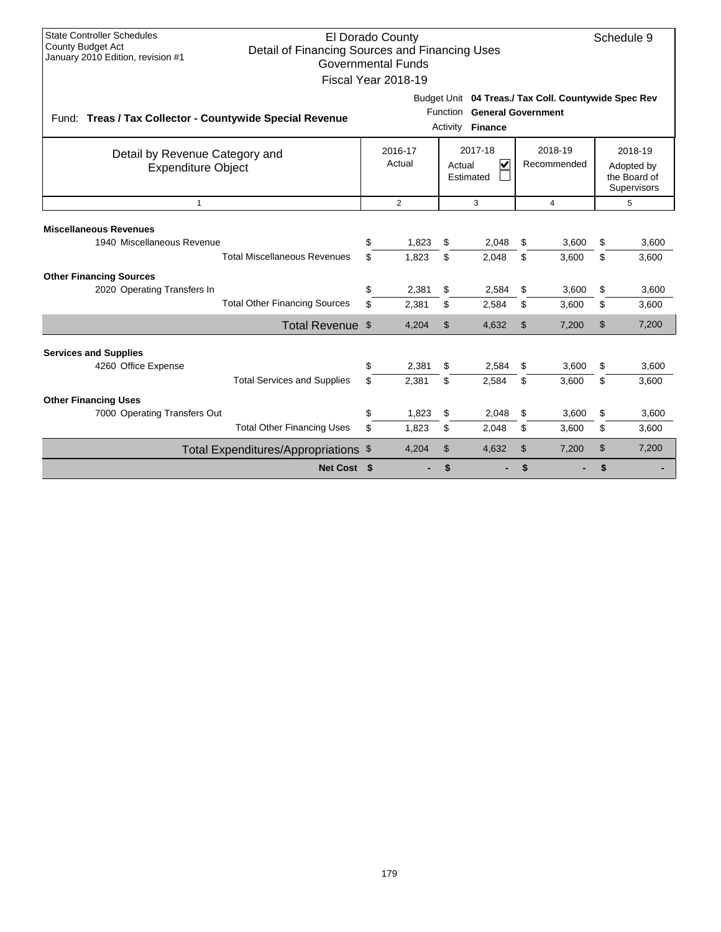| <b>State Controller Schedules</b><br><b>County Budget Act</b><br>January 2010 Edition, revision #1    | El Dorado County<br>Schedule 9<br>Detail of Financing Sources and Financing Uses<br><b>Governmental Funds</b><br>Fiscal Year 2018-19<br>Budget Unit 04 Treas./ Tax Coll. Countywide Spec Rev |                   |                      |                                                           |                |                        |          |                                                      |  |  |  |  |
|-------------------------------------------------------------------------------------------------------|----------------------------------------------------------------------------------------------------------------------------------------------------------------------------------------------|-------------------|----------------------|-----------------------------------------------------------|----------------|------------------------|----------|------------------------------------------------------|--|--|--|--|
| Fund: Treas / Tax Collector - Countywide Special Revenue                                              |                                                                                                                                                                                              |                   | Function<br>Activity | <b>General Government</b><br><b>Finance</b>               |                |                        |          |                                                      |  |  |  |  |
| Detail by Revenue Category and<br><b>Expenditure Object</b>                                           |                                                                                                                                                                                              | 2016-17<br>Actual |                      | 2017-18<br>$\overline{\mathbf{v}}$<br>Actual<br>Estimated |                | 2018-19<br>Recommended |          | 2018-19<br>Adopted by<br>the Board of<br>Supervisors |  |  |  |  |
| $\mathbf{1}$                                                                                          |                                                                                                                                                                                              | $\overline{2}$    |                      | 3                                                         |                | 4                      |          | 5                                                    |  |  |  |  |
| <b>Miscellaneous Revenues</b><br>1940 Miscellaneous Revenue<br><b>Total Miscellaneous Revenues</b>    | \$<br>\$                                                                                                                                                                                     | 1,823<br>1,823    | \$<br>\$             | 2,048<br>2,048                                            | \$<br>\$       | 3,600<br>3,600         | \$<br>\$ | 3,600<br>3,600                                       |  |  |  |  |
| <b>Other Financing Sources</b><br>2020 Operating Transfers In<br><b>Total Other Financing Sources</b> | \$<br>\$                                                                                                                                                                                     | 2,381<br>2,381    | \$<br>\$             | 2,584<br>2,584                                            | \$<br>\$       | 3,600<br>3,600         | \$<br>\$ | 3,600<br>3,600                                       |  |  |  |  |
| Total Revenue \$                                                                                      |                                                                                                                                                                                              | 4,204             | \$                   | 4,632                                                     | $\mathfrak{L}$ | 7,200                  | \$       | 7,200                                                |  |  |  |  |
| <b>Services and Supplies</b><br>4260 Office Expense<br><b>Total Services and Supplies</b>             | \$<br>\$                                                                                                                                                                                     | 2,381<br>2,381    | \$<br>\$             | 2,584<br>2,584                                            | \$<br>\$       | 3,600<br>3,600         | \$<br>\$ | 3,600<br>3,600                                       |  |  |  |  |
| <b>Other Financing Uses</b><br>7000 Operating Transfers Out<br><b>Total Other Financing Uses</b>      | \$<br>\$                                                                                                                                                                                     | 1,823<br>1,823    | \$<br>\$             | 2,048<br>2,048                                            | \$<br>\$       | 3,600<br>3,600         | \$<br>\$ | 3,600<br>3,600                                       |  |  |  |  |
| Total Expenditures/Appropriations \$                                                                  |                                                                                                                                                                                              | 4,204             | $\mathfrak{S}$       | 4,632                                                     | $\mathfrak{L}$ | 7,200                  | \$       | 7,200                                                |  |  |  |  |
| Net Cost \$                                                                                           |                                                                                                                                                                                              |                   | \$                   |                                                           | \$             |                        | \$       |                                                      |  |  |  |  |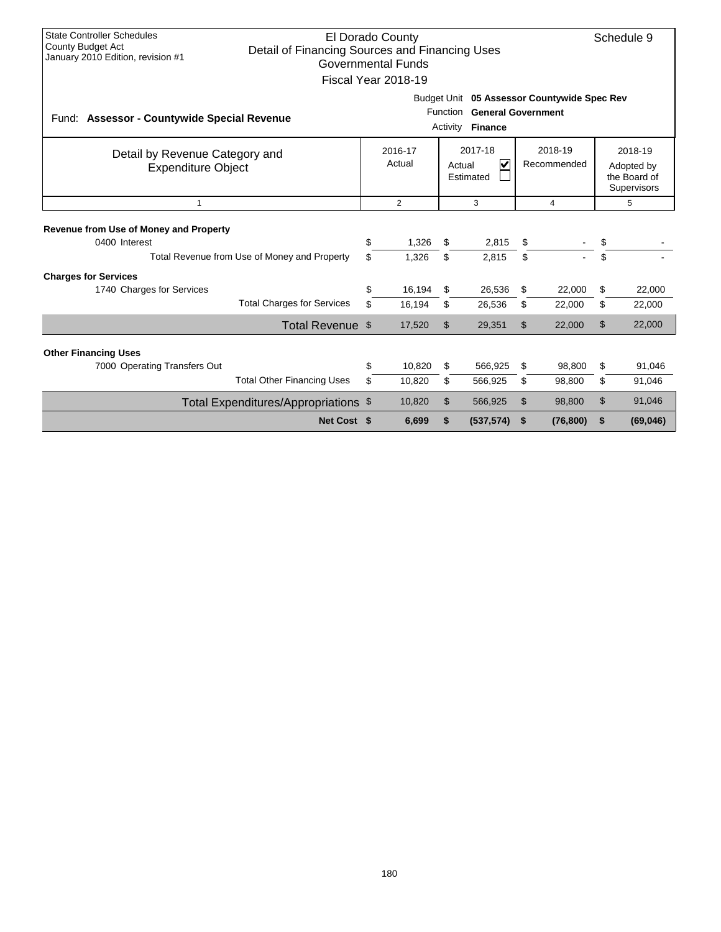| <b>State Controller Schedules</b><br>El Dorado County<br><b>County Budget Act</b><br>Detail of Financing Sources and Financing Uses<br>January 2010 Edition, revision #1<br><b>Governmental Funds</b><br>Fiscal Year 2018-19 |                                                                                                                                                         |    |                |    |            |    |                |    |                                                             |  |
|------------------------------------------------------------------------------------------------------------------------------------------------------------------------------------------------------------------------------|---------------------------------------------------------------------------------------------------------------------------------------------------------|----|----------------|----|------------|----|----------------|----|-------------------------------------------------------------|--|
|                                                                                                                                                                                                                              | Budget Unit 05 Assessor Countywide Spec Rev<br>Function General Government<br>Fund: Assessor - Countywide Special Revenue<br><b>Finance</b><br>Activity |    |                |    |            |    |                |    |                                                             |  |
| 2017-18<br>2018-19<br>2016-17<br>Detail by Revenue Category and<br>$\overline{\mathsf{v}}$<br>Actual<br>Recommended<br>Actual<br><b>Expenditure Object</b><br>Estimated                                                      |                                                                                                                                                         |    |                |    |            |    |                |    | 2018-19<br>Adopted by<br>the Board of<br><b>Supervisors</b> |  |
| $\mathbf{1}$                                                                                                                                                                                                                 |                                                                                                                                                         |    | $\overline{2}$ |    | 3          |    | $\overline{4}$ |    | 5                                                           |  |
| <b>Revenue from Use of Money and Property</b><br>0400 Interest                                                                                                                                                               |                                                                                                                                                         | \$ | 1,326          | \$ | 2,815      | \$ |                | \$ |                                                             |  |
|                                                                                                                                                                                                                              | Total Revenue from Use of Money and Property                                                                                                            | \$ | 1.326          | \$ | 2,815      | \$ |                | \$ |                                                             |  |
| <b>Charges for Services</b>                                                                                                                                                                                                  |                                                                                                                                                         |    |                |    |            |    |                |    |                                                             |  |
| 1740 Charges for Services                                                                                                                                                                                                    |                                                                                                                                                         | \$ | 16,194         | \$ | 26,536     | S  | 22,000         | \$ | 22,000                                                      |  |
|                                                                                                                                                                                                                              | <b>Total Charges for Services</b>                                                                                                                       | \$ | 16,194         | \$ | 26,536     | \$ | 22,000         | \$ | 22,000                                                      |  |
|                                                                                                                                                                                                                              | Total Revenue \$                                                                                                                                        |    | 17,520         | \$ | 29,351     | \$ | 22,000         | \$ | 22,000                                                      |  |
| <b>Other Financing Uses</b>                                                                                                                                                                                                  |                                                                                                                                                         |    |                |    |            |    |                |    |                                                             |  |
| 7000 Operating Transfers Out                                                                                                                                                                                                 |                                                                                                                                                         | \$ | 10,820         | \$ | 566,925    | \$ | 98,800         | \$ | 91,046                                                      |  |
|                                                                                                                                                                                                                              | <b>Total Other Financing Uses</b>                                                                                                                       | \$ | 10,820         | \$ | 566,925    | \$ | 98.800         | \$ | 91,046                                                      |  |
|                                                                                                                                                                                                                              | Total Expenditures/Appropriations \$                                                                                                                    |    | 10,820         | \$ | 566,925    | \$ | 98,800         | \$ | 91,046                                                      |  |
|                                                                                                                                                                                                                              | Net Cost \$                                                                                                                                             |    | 6.699          | \$ | (537, 574) | \$ | (76, 800)      | \$ | (69, 046)                                                   |  |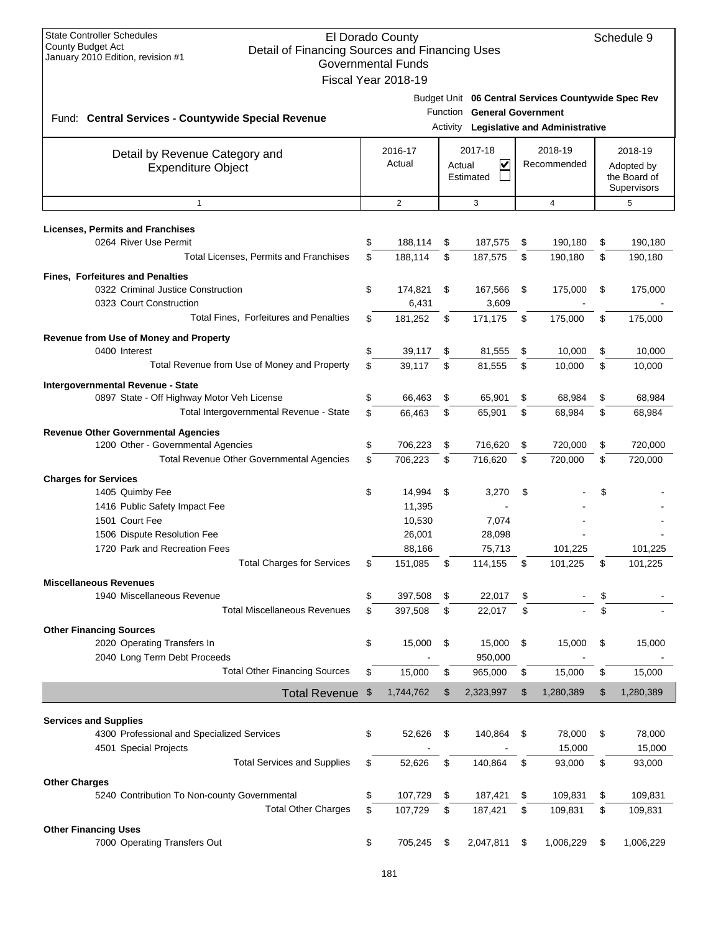| <b>State Controller Schedules</b><br><b>County Budget Act</b><br>Detail of Financing Sources and Financing Uses<br>January 2010 Edition, revision #1 | El Dorado County<br><b>Governmental Funds</b><br>Fiscal Year 2018-19 |        |                                      |                                                                                                | Schedule 9                                           |
|------------------------------------------------------------------------------------------------------------------------------------------------------|----------------------------------------------------------------------|--------|--------------------------------------|------------------------------------------------------------------------------------------------|------------------------------------------------------|
| Fund: Central Services - Countywide Special Revenue                                                                                                  |                                                                      |        | Function General Government          | Budget Unit 06 Central Services Countywide Spec Rev<br>Activity Legislative and Administrative |                                                      |
| Detail by Revenue Category and<br><b>Expenditure Object</b>                                                                                          | 2016-17<br>Actual                                                    | Actual | 2017-18<br>$\checkmark$<br>Estimated | 2018-19<br>Recommended                                                                         | 2018-19<br>Adopted by<br>the Board of<br>Supervisors |
| $\mathbf{1}$                                                                                                                                         | $\overline{2}$                                                       |        | 3                                    | $\overline{4}$                                                                                 | 5                                                    |
| <b>Licenses, Permits and Franchises</b>                                                                                                              |                                                                      |        |                                      |                                                                                                |                                                      |
| 0264 River Use Permit                                                                                                                                | \$<br>188,114                                                        | \$     | 187,575                              | \$<br>190,180                                                                                  | \$<br>190,180                                        |
| Total Licenses, Permits and Franchises                                                                                                               | \$<br>188.114                                                        | \$     | 187,575                              | \$<br>190,180                                                                                  | \$<br>190,180                                        |
| <b>Fines, Forfeitures and Penalties</b>                                                                                                              |                                                                      |        |                                      |                                                                                                |                                                      |
| 0322 Criminal Justice Construction                                                                                                                   | \$<br>174,821                                                        | \$     | 167,566                              | \$<br>175,000                                                                                  | \$<br>175,000                                        |
| 0323 Court Construction                                                                                                                              | 6,431                                                                |        | 3,609                                |                                                                                                |                                                      |
| <b>Total Fines. Forfeitures and Penalties</b>                                                                                                        | \$<br>181,252                                                        | \$     | 171,175                              | \$<br>175,000                                                                                  | \$<br>175,000                                        |
|                                                                                                                                                      |                                                                      |        |                                      |                                                                                                |                                                      |
| Revenue from Use of Money and Property                                                                                                               |                                                                      |        |                                      |                                                                                                |                                                      |
| 0400 Interest                                                                                                                                        | \$<br>39,117                                                         | \$     | 81,555                               | \$<br>10,000                                                                                   | \$<br>10,000                                         |
| Total Revenue from Use of Money and Property                                                                                                         | \$<br>39,117                                                         | \$     | 81,555                               | \$<br>10,000                                                                                   | \$<br>10,000                                         |
| Intergovernmental Revenue - State                                                                                                                    |                                                                      |        |                                      |                                                                                                |                                                      |
| 0897 State - Off Highway Motor Veh License                                                                                                           | \$<br>66,463                                                         | \$     | 65,901                               | \$<br>68,984                                                                                   | \$<br>68,984                                         |
| Total Intergovernmental Revenue - State                                                                                                              | \$<br>66,463                                                         | \$     | 65,901                               | \$<br>68,984                                                                                   | \$<br>68,984                                         |
| <b>Revenue Other Governmental Agencies</b>                                                                                                           |                                                                      |        |                                      |                                                                                                |                                                      |
| 1200 Other - Governmental Agencies                                                                                                                   | \$<br>706,223                                                        | \$     | 716,620                              | \$<br>720,000                                                                                  | \$<br>720,000                                        |
| Total Revenue Other Governmental Agencies                                                                                                            | \$<br>706,223                                                        | \$     | 716,620                              | \$<br>720,000                                                                                  | \$<br>720,000                                        |
| <b>Charges for Services</b>                                                                                                                          |                                                                      |        |                                      |                                                                                                |                                                      |
| 1405 Quimby Fee                                                                                                                                      | \$<br>14,994                                                         | \$     | 3,270                                | \$                                                                                             | \$                                                   |
| 1416 Public Safety Impact Fee                                                                                                                        | 11,395                                                               |        |                                      |                                                                                                |                                                      |
| 1501 Court Fee                                                                                                                                       | 10,530                                                               |        | 7,074                                |                                                                                                |                                                      |
| 1506 Dispute Resolution Fee                                                                                                                          | 26,001                                                               |        | 28,098                               |                                                                                                |                                                      |
| 1720 Park and Recreation Fees                                                                                                                        | 88.166                                                               |        | 75.713                               | 101.225                                                                                        | 101.225                                              |
| <b>Total Charges for Services</b>                                                                                                                    | \$<br>151,085                                                        | \$     | 114,155                              | \$<br>101,225                                                                                  | \$<br>101,225                                        |
|                                                                                                                                                      |                                                                      |        |                                      |                                                                                                |                                                      |
| <b>Miscellaneous Revenues</b>                                                                                                                        |                                                                      |        |                                      |                                                                                                |                                                      |
| 1940 Miscellaneous Revenue                                                                                                                           | \$<br>397,508                                                        | \$     | 22,017                               | \$                                                                                             | \$                                                   |
| <b>Total Miscellaneous Revenues</b>                                                                                                                  | \$<br>397,508                                                        | \$     | 22,017                               | \$                                                                                             | \$                                                   |
| <b>Other Financing Sources</b>                                                                                                                       |                                                                      |        |                                      |                                                                                                |                                                      |
| 2020 Operating Transfers In                                                                                                                          | \$<br>15,000                                                         | \$     | 15,000                               | \$<br>15,000                                                                                   | \$<br>15,000                                         |
| 2040 Long Term Debt Proceeds                                                                                                                         |                                                                      |        | 950,000                              |                                                                                                |                                                      |
| <b>Total Other Financing Sources</b>                                                                                                                 | \$<br>15,000                                                         | \$     | 965,000                              | \$<br>15,000                                                                                   | \$<br>15,000                                         |
| Total Revenue \$                                                                                                                                     | 1,744,762                                                            | \$     | 2,323,997                            | \$<br>1,280,389                                                                                | \$<br>1,280,389                                      |
|                                                                                                                                                      |                                                                      |        |                                      |                                                                                                |                                                      |
| <b>Services and Supplies</b><br>4300 Professional and Specialized Services<br>4501 Special Projects                                                  | \$<br>52,626                                                         | \$     | 140,864                              | \$<br>78,000<br>15,000                                                                         | \$<br>78,000<br>15,000                               |
| <b>Total Services and Supplies</b>                                                                                                                   | \$<br>52,626                                                         | \$     | 140,864                              |                                                                                                |                                                      |
|                                                                                                                                                      |                                                                      |        |                                      | \$<br>93,000                                                                                   | \$<br>93,000                                         |
| <b>Other Charges</b>                                                                                                                                 |                                                                      |        |                                      |                                                                                                |                                                      |
| 5240 Contribution To Non-county Governmental                                                                                                         | \$<br>107,729                                                        | \$     | 187,421                              | \$<br>109,831                                                                                  | \$<br>109,831                                        |
| <b>Total Other Charges</b>                                                                                                                           | \$<br>107,729                                                        | \$     | 187,421                              | \$<br>109,831                                                                                  | \$<br>109,831                                        |
| <b>Other Financing Uses</b>                                                                                                                          |                                                                      |        |                                      |                                                                                                |                                                      |
| 7000 Operating Transfers Out                                                                                                                         | \$<br>705,245                                                        | \$     | 2,047,811                            | \$<br>1,006,229                                                                                | \$<br>1,006,229                                      |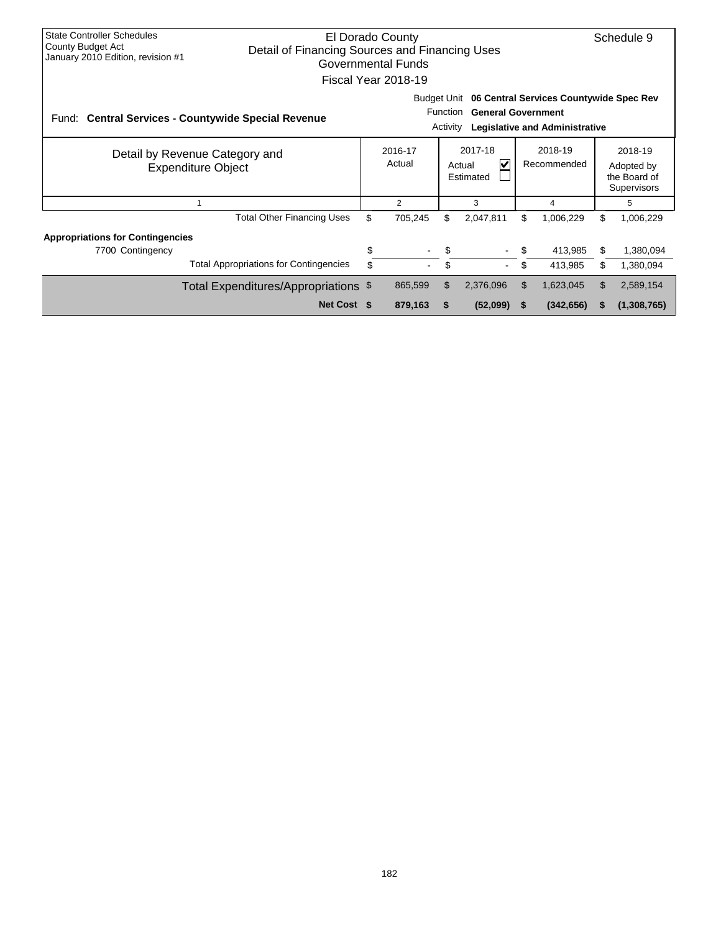| <b>State Controller Schedules</b><br><b>County Budget Act</b><br>January 2010 Edition, revision #1 | El Dorado County<br>Detail of Financing Sources and Financing Uses<br>Governmental Funds<br>Fiscal Year 2018-19 |                                                                                                                                                          |                   |                                                               |           |     |            |                                                      |             |  |
|----------------------------------------------------------------------------------------------------|-----------------------------------------------------------------------------------------------------------------|----------------------------------------------------------------------------------------------------------------------------------------------------------|-------------------|---------------------------------------------------------------|-----------|-----|------------|------------------------------------------------------|-------------|--|
|                                                                                                    | Fund: Central Services - Countywide Special Revenue                                                             | Budget Unit 06 Central Services Countywide Spec Rev<br><b>Function</b><br><b>General Government</b><br><b>Legislative and Administrative</b><br>Activity |                   |                                                               |           |     |            |                                                      |             |  |
|                                                                                                    | Detail by Revenue Category and<br><b>Expenditure Object</b>                                                     |                                                                                                                                                          | 2016-17<br>Actual | 2017-18<br>2018-19<br>V<br>Recommended<br>Actual<br>Estimated |           |     |            | 2018-19<br>Adopted by<br>the Board of<br>Supervisors |             |  |
|                                                                                                    |                                                                                                                 |                                                                                                                                                          | 2                 |                                                               | 3         |     | 4          |                                                      | 5           |  |
|                                                                                                    | <b>Total Other Financing Uses</b>                                                                               | \$                                                                                                                                                       | 705,245           | \$                                                            | 2,047,811 | \$  | 1,006,229  | \$                                                   | 1,006,229   |  |
| <b>Appropriations for Contingencies</b><br>7700 Contingency                                        |                                                                                                                 | S                                                                                                                                                        |                   | S                                                             |           | \$. | 413,985    | \$                                                   | 1,380,094   |  |
|                                                                                                    | <b>Total Appropriations for Contingencies</b>                                                                   | \$                                                                                                                                                       |                   | \$                                                            |           | \$  | 413,985    | \$                                                   | 1,380,094   |  |
|                                                                                                    | Total Expenditures/Appropriations \$                                                                            |                                                                                                                                                          | 865,599           | \$                                                            | 2,376,096 | \$  | 1,623,045  | \$                                                   | 2,589,154   |  |
|                                                                                                    | Net Cost \$                                                                                                     |                                                                                                                                                          | 879,163           | \$                                                            | (52,099)  |     | (342, 656) |                                                      | (1,308,765) |  |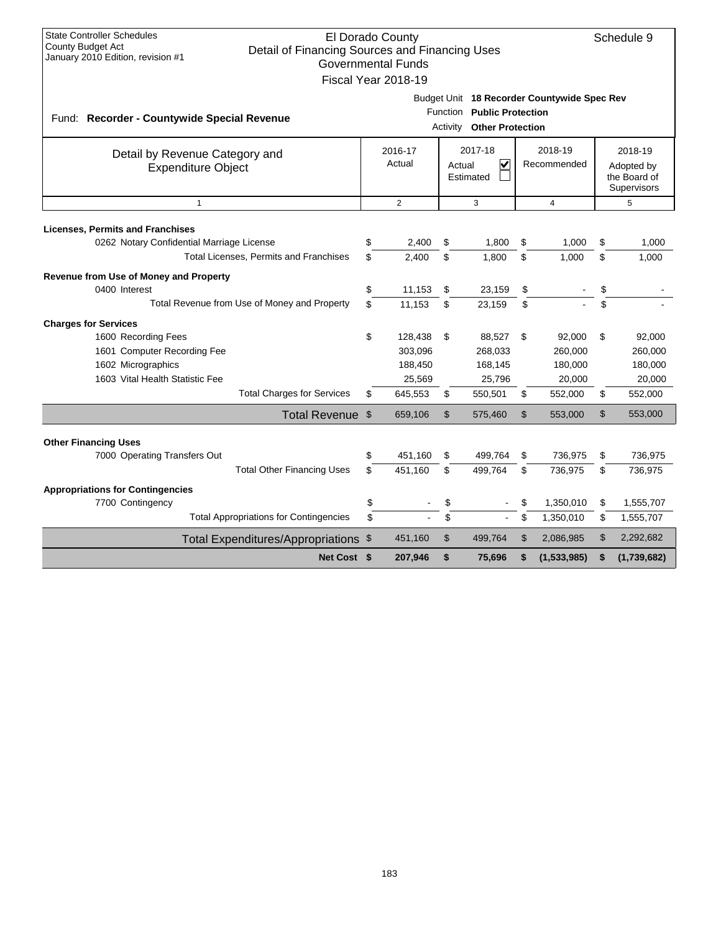| <b>State Controller Schedules</b><br><b>County Budget Act</b><br>Detail of Financing Sources and Financing Uses<br>January 2010 Edition, revision #1 |                                                                                                          | El Dorado County<br><b>Governmental Funds</b><br>Fiscal Year 2018-19 |                |                                                       |    |                                                      |                         | Schedule 9  |
|------------------------------------------------------------------------------------------------------------------------------------------------------|----------------------------------------------------------------------------------------------------------|----------------------------------------------------------------------|----------------|-------------------------------------------------------|----|------------------------------------------------------|-------------------------|-------------|
| Fund: Recorder - Countywide Special Revenue                                                                                                          |                                                                                                          |                                                                      | Activity       | Function Public Protection<br><b>Other Protection</b> |    | Budget Unit 18 Recorder Countywide Spec Rev          |                         |             |
| Detail by Revenue Category and<br><b>Expenditure Object</b>                                                                                          | 2017-18<br>2018-19<br>2016-17<br>Actual<br>$\overline{\mathbf{v}}$<br>Recommended<br>Actual<br>Estimated |                                                                      |                |                                                       |    | 2018-19<br>Adopted by<br>the Board of<br>Supervisors |                         |             |
| $\mathbf{1}$                                                                                                                                         |                                                                                                          | $\overline{2}$                                                       |                | 3                                                     |    | $\overline{4}$                                       |                         | 5           |
| <b>Licenses, Permits and Franchises</b><br>0262 Notary Confidential Marriage License                                                                 | \$                                                                                                       | 2,400                                                                | \$             | 1,800                                                 | \$ | 1,000                                                | \$                      | 1,000       |
| Total Licenses, Permits and Franchises                                                                                                               | \$                                                                                                       | 2,400                                                                | \$             | 1,800                                                 | \$ | 1,000                                                | \$                      | 1,000       |
| Revenue from Use of Money and Property                                                                                                               |                                                                                                          |                                                                      |                |                                                       |    |                                                      |                         |             |
| 0400 Interest                                                                                                                                        | \$                                                                                                       | 11,153                                                               | \$             | 23,159                                                | \$ |                                                      | \$                      |             |
| Total Revenue from Use of Money and Property                                                                                                         | \$                                                                                                       | 11.153                                                               | \$             | 23.159                                                | \$ |                                                      | $\overline{\mathbf{s}}$ |             |
| <b>Charges for Services</b>                                                                                                                          |                                                                                                          |                                                                      |                |                                                       |    |                                                      |                         |             |
| 1600 Recording Fees                                                                                                                                  | \$                                                                                                       | 128,438                                                              | \$             | 88,527                                                | \$ | 92,000                                               | \$                      | 92,000      |
| 1601 Computer Recording Fee                                                                                                                          |                                                                                                          | 303,096                                                              |                | 268,033                                               |    | 260,000                                              |                         | 260,000     |
| 1602 Micrographics                                                                                                                                   |                                                                                                          | 188,450                                                              |                | 168,145                                               |    | 180,000                                              |                         | 180,000     |
| 1603 Vital Health Statistic Fee                                                                                                                      |                                                                                                          | 25,569                                                               |                | 25,796                                                |    | 20,000                                               |                         | 20,000      |
| <b>Total Charges for Services</b>                                                                                                                    | \$                                                                                                       | 645,553                                                              | \$             | 550,501                                               | \$ | 552,000                                              | \$                      | 552,000     |
| Total Revenue \$                                                                                                                                     |                                                                                                          | 659,106                                                              | $\mathfrak{L}$ | 575,460                                               | \$ | 553,000                                              | \$                      | 553,000     |
|                                                                                                                                                      |                                                                                                          |                                                                      |                |                                                       |    |                                                      |                         |             |
| <b>Other Financing Uses</b><br>7000 Operating Transfers Out                                                                                          | \$                                                                                                       | 451,160                                                              | \$             | 499,764                                               | \$ | 736,975                                              | \$                      | 736,975     |
| <b>Total Other Financing Uses</b>                                                                                                                    | \$                                                                                                       | 451,160                                                              | \$             | 499,764                                               | \$ | 736,975                                              | \$                      | 736,975     |
|                                                                                                                                                      |                                                                                                          |                                                                      |                |                                                       |    |                                                      |                         |             |
| <b>Appropriations for Contingencies</b>                                                                                                              |                                                                                                          |                                                                      |                |                                                       |    |                                                      |                         |             |
| 7700 Contingency                                                                                                                                     | \$                                                                                                       |                                                                      | \$             |                                                       |    | 1,350,010                                            | \$                      | 1,555,707   |
| <b>Total Appropriations for Contingencies</b>                                                                                                        | \$                                                                                                       |                                                                      | \$             | $\blacksquare$                                        | \$ | 1,350,010                                            | \$                      | 1,555,707   |
| Total Expenditures/Appropriations \$                                                                                                                 |                                                                                                          | 451,160                                                              | $\mathsf{\$}$  | 499,764                                               | \$ | 2,086,985                                            | \$                      | 2,292,682   |
| Net Cost \$                                                                                                                                          |                                                                                                          | 207,946                                                              | \$             | 75,696                                                | \$ | (1,533,985)                                          | \$                      | (1,739,682) |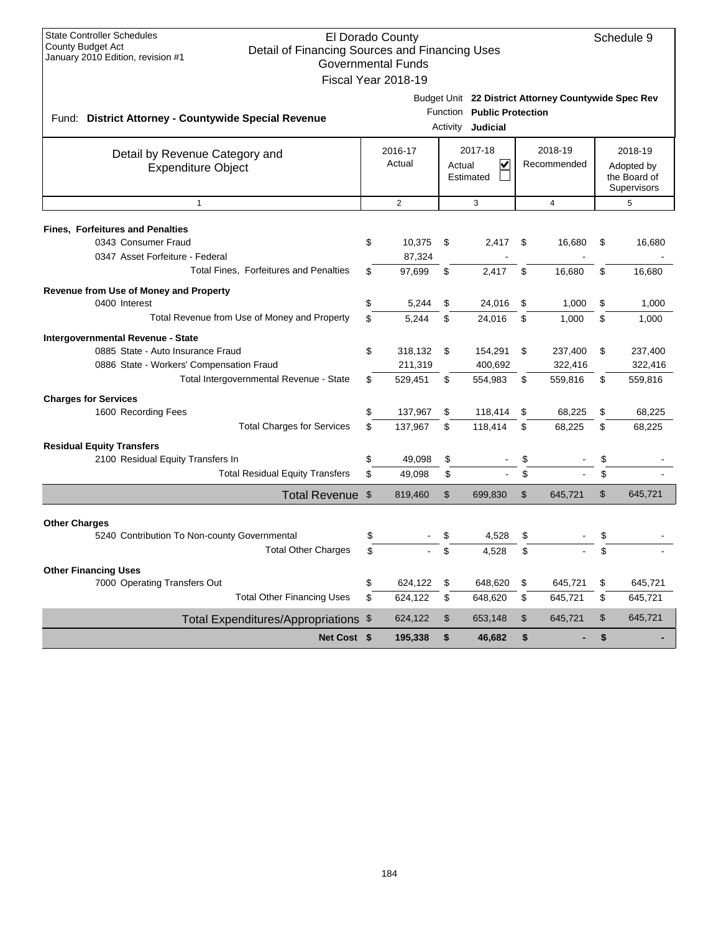| <b>State Controller Schedules</b><br><b>County Budget Act</b><br>Detail of Financing Sources and Financing Uses<br>January 2010 Edition, revision #1          |          | El Dorado County<br><b>Governmental Funds</b><br>Fiscal Year 2018-19 |          |                                                 |          |                                                      |          | Schedule 9                                           |
|---------------------------------------------------------------------------------------------------------------------------------------------------------------|----------|----------------------------------------------------------------------|----------|-------------------------------------------------|----------|------------------------------------------------------|----------|------------------------------------------------------|
| Fund: District Attorney - Countywide Special Revenue                                                                                                          |          |                                                                      |          | Function Public Protection<br>Activity Judicial |          | Budget Unit 22 District Attorney Countywide Spec Rev |          |                                                      |
| Detail by Revenue Category and<br><b>Expenditure Object</b>                                                                                                   |          | 2016-17<br>Actual                                                    |          | 2017-18<br>V<br>Actual<br>Estimated             |          | 2018-19<br>Recommended                               |          | 2018-19<br>Adopted by<br>the Board of<br>Supervisors |
| $\mathbf{1}$                                                                                                                                                  |          | 2                                                                    |          | 3                                               |          | $\overline{4}$                                       |          | 5                                                    |
| <b>Fines, Forfeitures and Penalties</b><br>0343 Consumer Fraud<br>0347 Asset Forfeiture - Federal<br>Total Fines, Forfeitures and Penalties                   | \$<br>\$ | 10,375<br>87,324<br>97,699                                           | \$<br>\$ | 2,417<br>2.417                                  | \$<br>\$ | 16,680<br>16,680                                     | \$<br>\$ | 16,680<br>16,680                                     |
| Revenue from Use of Money and Property<br>0400 Interest<br>Total Revenue from Use of Money and Property                                                       | \$<br>\$ | 5,244<br>5,244                                                       | \$<br>\$ | 24,016<br>24,016                                | \$<br>\$ | 1,000<br>1,000                                       | \$<br>\$ | 1,000<br>1,000                                       |
| Intergovernmental Revenue - State<br>0885 State - Auto Insurance Fraud<br>0886 State - Workers' Compensation Fraud<br>Total Intergovernmental Revenue - State | \$<br>\$ | 318,132<br>211,319<br>529,451                                        | \$<br>\$ | 154,291<br>400,692<br>554,983                   | \$<br>\$ | 237,400<br>322,416<br>559,816                        | \$<br>\$ | 237,400<br>322,416<br>559,816                        |
| <b>Charges for Services</b><br>1600 Recording Fees<br><b>Total Charges for Services</b>                                                                       | \$<br>\$ | 137,967<br>137,967                                                   | \$<br>\$ | 118,414<br>118,414                              | \$<br>\$ | 68,225<br>68,225                                     | \$<br>\$ | 68,225<br>68,225                                     |
| <b>Residual Equity Transfers</b><br>2100 Residual Equity Transfers In<br><b>Total Residual Equity Transfers</b>                                               | \$<br>\$ | 49,098<br>49,098                                                     | \$<br>\$ |                                                 | \$<br>\$ |                                                      | \$<br>\$ |                                                      |
| Total Revenue \$                                                                                                                                              |          | 819,460                                                              | \$       | 699,830                                         | \$       | 645,721                                              | \$       | 645,721                                              |
| <b>Other Charges</b><br>5240 Contribution To Non-county Governmental<br><b>Total Other Charges</b>                                                            | \$       |                                                                      | \$<br>\$ | 4,528<br>4,528                                  | \$<br>\$ |                                                      |          |                                                      |
| <b>Other Financing Uses</b><br>7000 Operating Transfers Out<br><b>Total Other Financing Uses</b>                                                              | \$<br>\$ | 624,122<br>624,122                                                   | \$<br>\$ | 648,620<br>648,620                              | \$<br>\$ | 645,721<br>645,721                                   | \$<br>\$ | 645,721<br>645,721                                   |
| Total Expenditures/Appropriations \$                                                                                                                          |          | 624,122                                                              | \$       | 653,148                                         | \$       | 645,721                                              | \$       | 645,721                                              |
| Net Cost \$                                                                                                                                                   |          | 195,338                                                              | \$       | 46,682                                          | \$       | -                                                    | \$       |                                                      |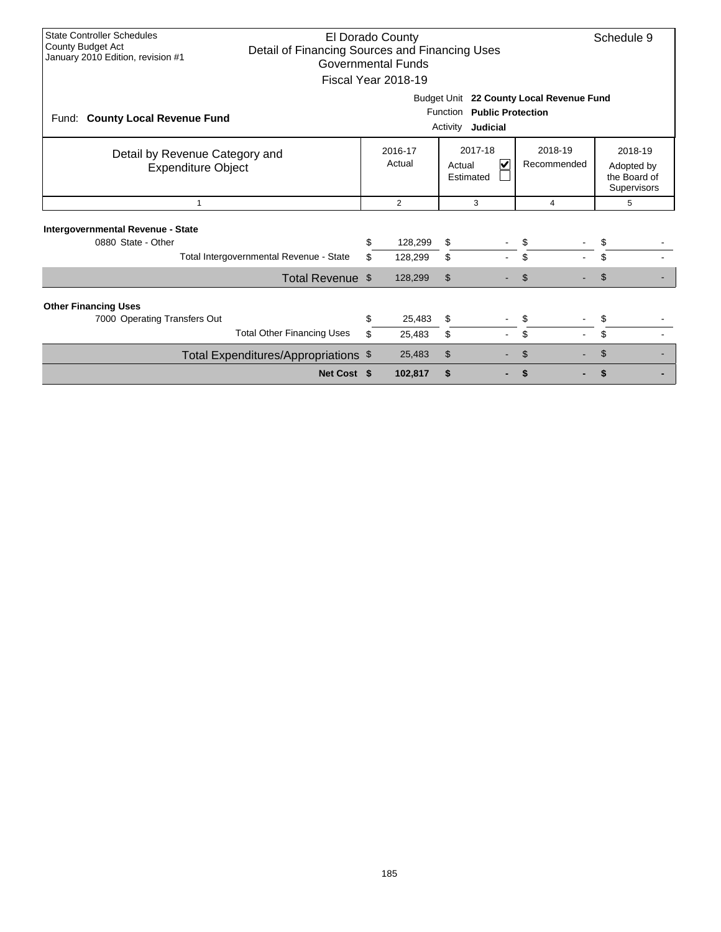| <b>State Controller Schedules</b><br><b>County Budget Act</b><br>Detail of Financing Sources and Financing Uses<br>January 2010 Edition, revision #1 |                                                                                                | El Dorado County<br><b>Governmental Funds</b><br>Fiscal Year 2018-19 |                                     |                        | Schedule 9 |                                                      |  |  |  |  |
|------------------------------------------------------------------------------------------------------------------------------------------------------|------------------------------------------------------------------------------------------------|----------------------------------------------------------------------|-------------------------------------|------------------------|------------|------------------------------------------------------|--|--|--|--|
| Fund: County Local Revenue Fund                                                                                                                      | Budget Unit 22 County Local Revenue Fund<br>Function Public Protection<br>Judicial<br>Activity |                                                                      |                                     |                        |            |                                                      |  |  |  |  |
| Detail by Revenue Category and<br><b>Expenditure Object</b>                                                                                          |                                                                                                | 2016-17<br>Actual                                                    | 2017-18<br>V<br>Actual<br>Estimated | 2018-19<br>Recommended |            | 2018-19<br>Adopted by<br>the Board of<br>Supervisors |  |  |  |  |
| $\overline{1}$                                                                                                                                       |                                                                                                | $\overline{2}$                                                       | 3                                   | 4                      |            | 5                                                    |  |  |  |  |
| Intergovernmental Revenue - State                                                                                                                    |                                                                                                |                                                                      |                                     |                        |            |                                                      |  |  |  |  |
| 0880 State - Other                                                                                                                                   | \$                                                                                             | 128,299                                                              | \$                                  | \$                     | \$         |                                                      |  |  |  |  |
| Total Intergovernmental Revenue - State                                                                                                              | \$.                                                                                            | 128,299                                                              | \$<br>$\blacksquare$                | \$                     | \$         |                                                      |  |  |  |  |
| Total Revenue \$                                                                                                                                     |                                                                                                | 128,299                                                              | \$                                  | \$                     | \$         |                                                      |  |  |  |  |
| <b>Other Financing Uses</b>                                                                                                                          |                                                                                                |                                                                      |                                     |                        |            |                                                      |  |  |  |  |
| 7000 Operating Transfers Out                                                                                                                         | \$                                                                                             | 25,483                                                               | \$                                  | \$                     | \$         |                                                      |  |  |  |  |
| <b>Total Other Financing Uses</b>                                                                                                                    | \$                                                                                             | 25,483                                                               | \$<br>$\blacksquare$                | \$                     | \$         |                                                      |  |  |  |  |
| Total Expenditures/Appropriations \$                                                                                                                 |                                                                                                | 25,483                                                               | \$                                  | \$                     |            |                                                      |  |  |  |  |
| Net Cost \$                                                                                                                                          |                                                                                                | 102,817                                                              | \$                                  | \$                     |            |                                                      |  |  |  |  |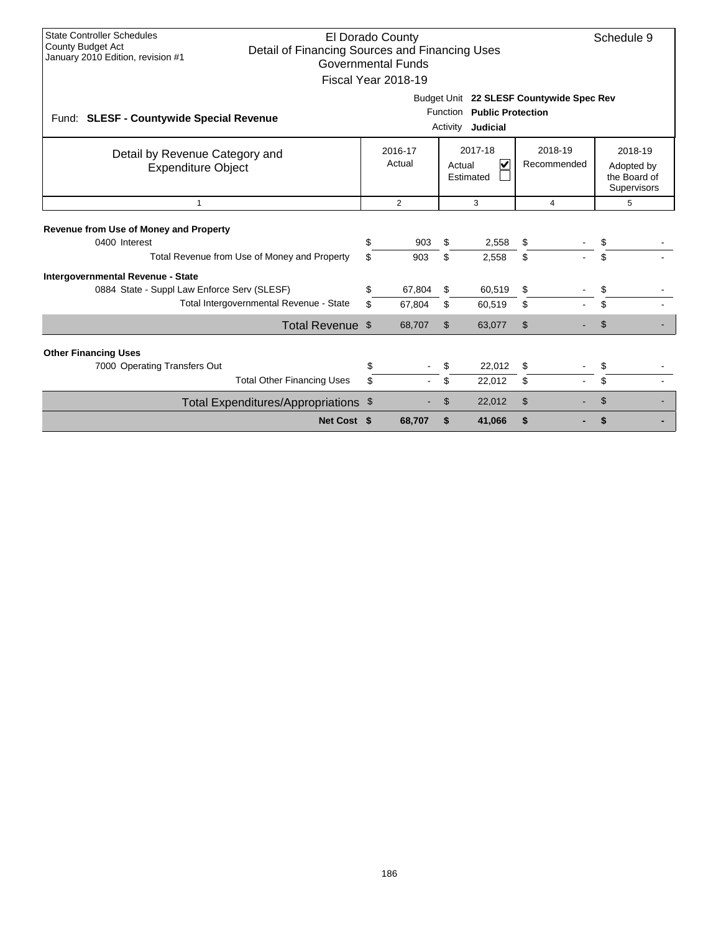| <b>State Controller Schedules</b><br>El Dorado County<br>Schedule 9<br>County Budget Act<br>Detail of Financing Sources and Financing Uses<br>January 2010 Edition, revision #1<br><b>Governmental Funds</b><br>Fiscal Year 2018-19 |          |                   |                |                                                                                             |          |                        |          |                                                      |  |  |  |
|-------------------------------------------------------------------------------------------------------------------------------------------------------------------------------------------------------------------------------------|----------|-------------------|----------------|---------------------------------------------------------------------------------------------|----------|------------------------|----------|------------------------------------------------------|--|--|--|
| Fund: SLESF - Countywide Special Revenue                                                                                                                                                                                            |          |                   |                | Budget Unit 22 SLESF Countywide Spec Rev<br>Function Public Protection<br>Activity Judicial |          |                        |          |                                                      |  |  |  |
| Detail by Revenue Category and<br><b>Expenditure Object</b>                                                                                                                                                                         |          | 2016-17<br>Actual |                | 2017-18<br>$\overline{\mathsf{v}}$<br>Actual<br>Estimated                                   |          | 2018-19<br>Recommended |          | 2018-19<br>Adopted by<br>the Board of<br>Supervisors |  |  |  |
| $\overline{1}$                                                                                                                                                                                                                      |          | $\overline{2}$    | $\overline{4}$ |                                                                                             | 5        |                        |          |                                                      |  |  |  |
| <b>Revenue from Use of Money and Property</b><br>0400 Interest<br>Total Revenue from Use of Money and Property                                                                                                                      | \$<br>\$ | 903<br>903        | \$<br>\$       | 2,558<br>2,558                                                                              | \$<br>\$ |                        | \$<br>\$ |                                                      |  |  |  |
| Intergovernmental Revenue - State<br>0884 State - Suppl Law Enforce Serv (SLESF)<br>Total Intergovernmental Revenue - State                                                                                                         | \$<br>\$ | 67,804<br>67,804  | \$<br>\$       | 60,519<br>60,519                                                                            | S<br>\$  |                        | \$<br>\$ |                                                      |  |  |  |
| Total Revenue \$                                                                                                                                                                                                                    |          | 68,707            | \$             | 63,077                                                                                      | \$       |                        | \$       |                                                      |  |  |  |
| <b>Other Financing Uses</b><br>7000 Operating Transfers Out<br><b>Total Other Financing Uses</b>                                                                                                                                    | \$       |                   | \$             | 22,012<br>22,012                                                                            | \$<br>\$ |                        | \$<br>\$ |                                                      |  |  |  |
| Total Expenditures/Appropriations \$                                                                                                                                                                                                |          |                   | \$             | 22,012                                                                                      | \$       |                        | \$       |                                                      |  |  |  |
| Net Cost \$                                                                                                                                                                                                                         |          | 68.707            | \$             | 41.066                                                                                      | \$       |                        |          |                                                      |  |  |  |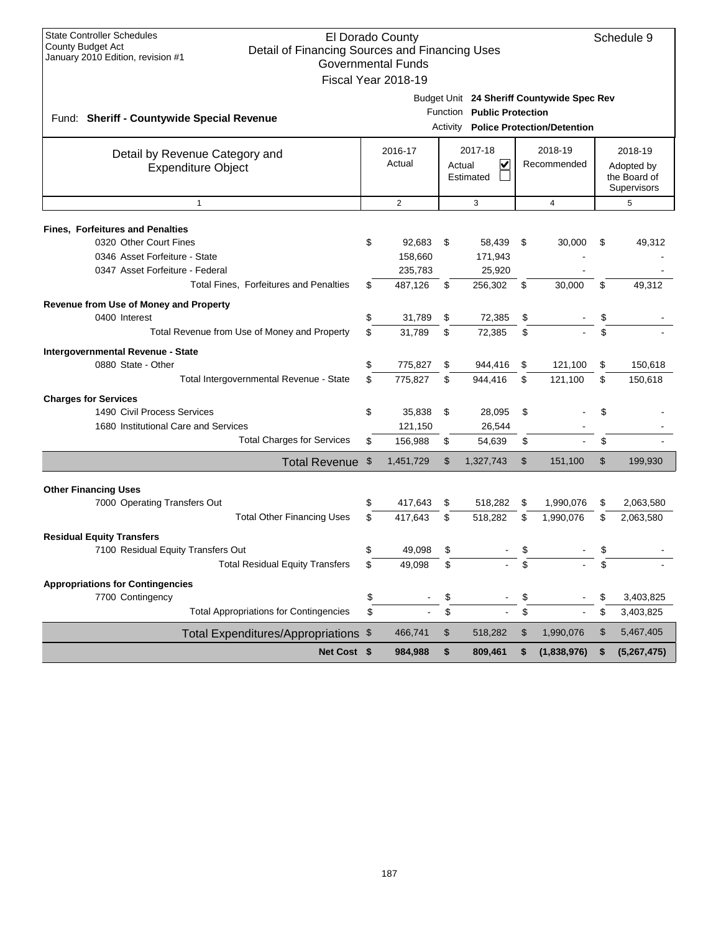| <b>State Controller Schedules</b><br>El Dorado County<br><b>County Budget Act</b><br>Detail of Financing Sources and Financing Uses<br>January 2010 Edition, revision #1<br><b>Governmental Funds</b><br>Fiscal Year 2018-19 |          |                                         |                |                                        |            |                                                                                    |                                                                                                       |                        |  |
|------------------------------------------------------------------------------------------------------------------------------------------------------------------------------------------------------------------------------|----------|-----------------------------------------|----------------|----------------------------------------|------------|------------------------------------------------------------------------------------|-------------------------------------------------------------------------------------------------------|------------------------|--|
| Fund: Sheriff - Countywide Special Revenue                                                                                                                                                                                   |          |                                         |                | Function Public Protection             |            | Budget Unit 24 Sheriff Countywide Spec Rev<br>Activity Police Protection/Detention |                                                                                                       |                        |  |
| Detail by Revenue Category and<br><b>Expenditure Object</b>                                                                                                                                                                  |          | 2016-17<br>Actual                       |                | 2017-18<br>✓<br>Actual<br>Estimated    |            | 2018-19<br>Recommended                                                             | 2018-19<br>Adopted by<br>the Board of<br>Supervisors<br>5<br>\$<br>49,312<br>\$<br>49,312<br>\$<br>\$ |                        |  |
| $\mathbf{1}$                                                                                                                                                                                                                 |          | $\overline{2}$                          |                | 3                                      |            | $\overline{4}$                                                                     |                                                                                                       |                        |  |
| <b>Fines, Forfeitures and Penalties</b><br>0320 Other Court Fines<br>0346 Asset Forfeiture - State<br>0347 Asset Forfeiture - Federal<br>Total Fines, Forfeitures and Penalties                                              | \$<br>\$ | 92,683<br>158,660<br>235,783<br>487,126 | \$<br>\$       | 58,439<br>171,943<br>25,920<br>256,302 | - \$<br>\$ | 30,000<br>30,000                                                                   |                                                                                                       |                        |  |
| Revenue from Use of Money and Property<br>0400 Interest<br>Total Revenue from Use of Money and Property                                                                                                                      | \$<br>\$ | 31,789<br>31,789                        | \$<br>\$       | 72,385<br>72,385                       | \$<br>\$   |                                                                                    |                                                                                                       |                        |  |
| Intergovernmental Revenue - State<br>0880 State - Other<br>Total Intergovernmental Revenue - State                                                                                                                           | \$<br>\$ | 775,827<br>775,827                      | \$<br>\$       | 944,416<br>944,416                     | \$<br>\$   | 121,100<br>121,100                                                                 | \$<br>\$                                                                                              | 150,618<br>150,618     |  |
| <b>Charges for Services</b><br>1490 Civil Process Services<br>1680 Institutional Care and Services<br><b>Total Charges for Services</b>                                                                                      | \$<br>\$ | 35,838<br>121,150<br>156,988            | \$<br>\$       | 28,095<br>26,544<br>54,639             | \$<br>\$   |                                                                                    | \$<br>\$                                                                                              |                        |  |
| Total Revenue \$                                                                                                                                                                                                             |          | 1,451,729                               | $\mathfrak{S}$ | 1,327,743                              | \$         | 151,100                                                                            | \$                                                                                                    | 199,930                |  |
| <b>Other Financing Uses</b><br>7000 Operating Transfers Out<br><b>Total Other Financing Uses</b>                                                                                                                             | \$<br>\$ | 417,643<br>417,643                      | \$<br>\$       | 518,282<br>518,282                     | \$<br>\$   | 1,990,076<br>1,990,076                                                             | \$<br>\$                                                                                              | 2,063,580<br>2,063,580 |  |
| <b>Residual Equity Transfers</b><br>7100 Residual Equity Transfers Out<br><b>Total Residual Equity Transfers</b>                                                                                                             | \$       | 49,098<br>49,098                        | \$             |                                        | \$         |                                                                                    | ፍ<br>\$                                                                                               |                        |  |
| <b>Appropriations for Contingencies</b><br>7700 Contingency<br><b>Total Appropriations for Contingencies</b>                                                                                                                 | \$<br>\$ |                                         | \$<br>\$       |                                        | \$<br>\$   |                                                                                    | \$<br>\$                                                                                              | 3,403,825<br>3,403,825 |  |
| Total Expenditures/Appropriations \$                                                                                                                                                                                         |          | 466,741                                 | \$             | 518,282                                | \$         | 1,990,076                                                                          | \$                                                                                                    | 5,467,405              |  |
| Net Cost \$                                                                                                                                                                                                                  |          | 984,988                                 | \$             | 809,461                                | \$         | (1,838,976)                                                                        | \$                                                                                                    | (5, 267, 475)          |  |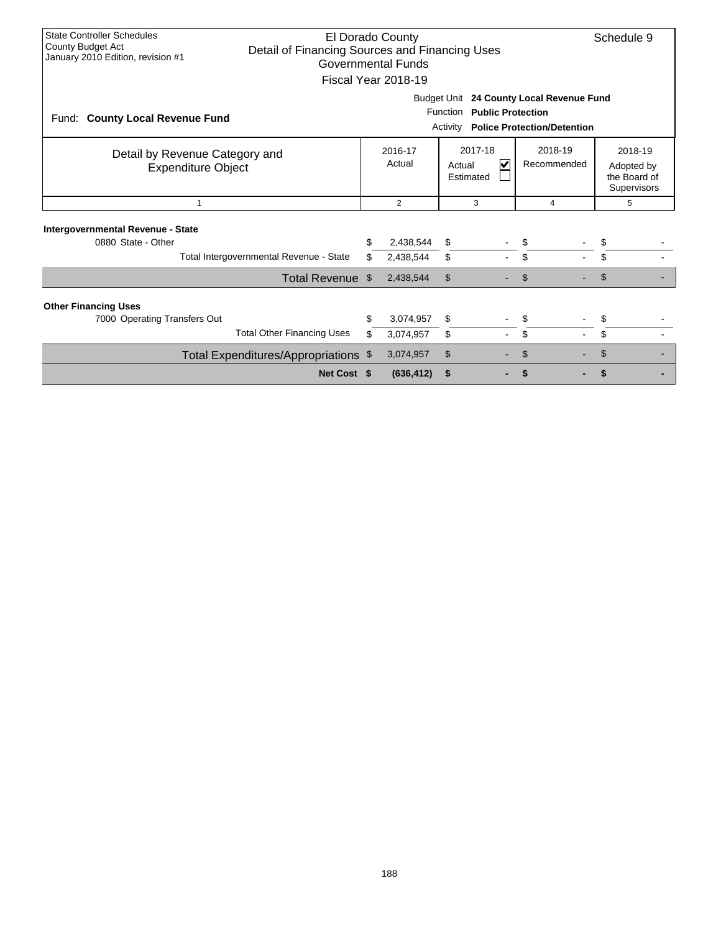| <b>State Controller Schedules</b><br>El Dorado County<br>Schedule 9<br>County Budget Act<br>Detail of Financing Sources and Financing Uses<br>January 2010 Edition, revision #1<br><b>Governmental Funds</b><br>Fiscal Year 2018-19 |                                                                                                                                    |          |                        |                                                |  |                        |  |                                                             |  |  |  |
|-------------------------------------------------------------------------------------------------------------------------------------------------------------------------------------------------------------------------------------|------------------------------------------------------------------------------------------------------------------------------------|----------|------------------------|------------------------------------------------|--|------------------------|--|-------------------------------------------------------------|--|--|--|
| Fund: County Local Revenue Fund                                                                                                                                                                                                     | Budget Unit 24 County Local Revenue Fund<br>Function<br><b>Public Protection</b><br><b>Police Protection/Detention</b><br>Activity |          |                        |                                                |  |                        |  |                                                             |  |  |  |
| Detail by Revenue Category and<br><b>Expenditure Object</b>                                                                                                                                                                         |                                                                                                                                    |          | 2016-17<br>Actual      | 2017-18<br>$\checkmark$<br>Actual<br>Estimated |  | 2018-19<br>Recommended |  | 2018-19<br>Adopted by<br>the Board of<br><b>Supervisors</b> |  |  |  |
| $\mathbf{1}$                                                                                                                                                                                                                        |                                                                                                                                    |          | $\overline{2}$         | 3                                              |  | $\overline{4}$         |  | 5                                                           |  |  |  |
| Intergovernmental Revenue - State<br>0880 State - Other                                                                                                                                                                             | Total Intergovernmental Revenue - State                                                                                            | \$<br>\$ | 2,438,544<br>2,438,544 | \$<br>\$                                       |  | \$                     |  | \$<br>\$                                                    |  |  |  |
|                                                                                                                                                                                                                                     | Total Revenue \$                                                                                                                   |          | 2,438,544              | \$                                             |  | \$                     |  | \$                                                          |  |  |  |
| <b>Other Financing Uses</b><br>7000 Operating Transfers Out                                                                                                                                                                         | <b>Total Other Financing Uses</b>                                                                                                  | \$<br>\$ | 3,074,957<br>3,074,957 | \$<br>\$                                       |  | \$                     |  | \$<br>\$                                                    |  |  |  |
|                                                                                                                                                                                                                                     | Total Expenditures/Appropriations \$                                                                                               |          | 3,074,957              | \$                                             |  |                        |  | \$                                                          |  |  |  |
|                                                                                                                                                                                                                                     | Net Cost \$                                                                                                                        |          | (636, 412)             | \$                                             |  |                        |  |                                                             |  |  |  |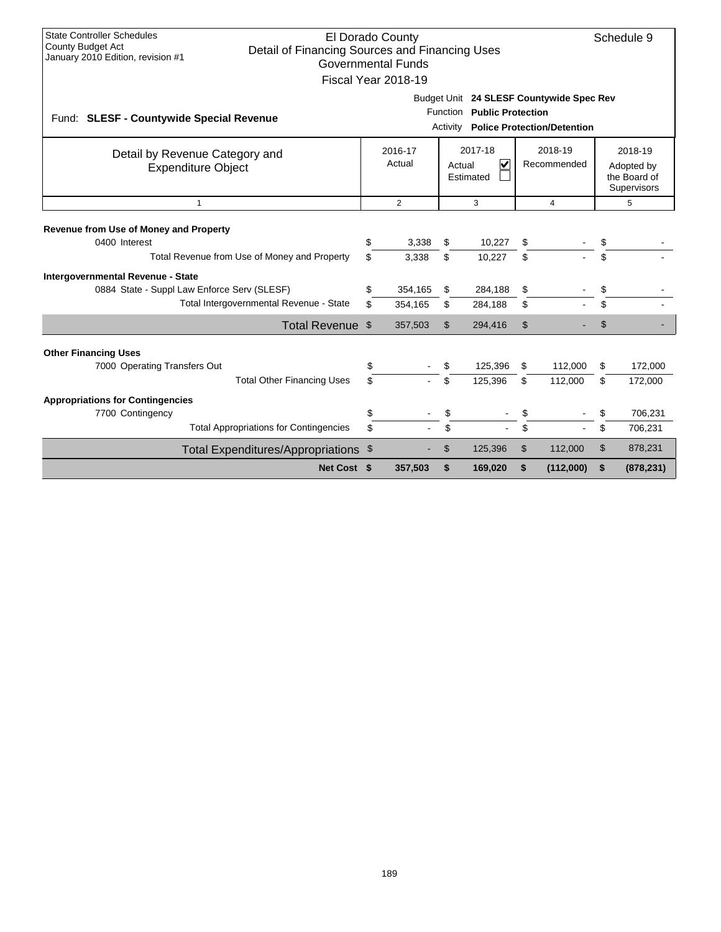| <b>State Controller Schedules</b><br>El Dorado County<br>Schedule 9<br>County Budget Act<br>Detail of Financing Sources and Financing Uses<br>January 2010 Edition, revision #1<br><b>Governmental Funds</b><br>Fiscal Year 2018-19 |                                                                                                                          |                    |                |                    |          |           |                |                                                      |  |  |  |
|-------------------------------------------------------------------------------------------------------------------------------------------------------------------------------------------------------------------------------------|--------------------------------------------------------------------------------------------------------------------------|--------------------|----------------|--------------------|----------|-----------|----------------|------------------------------------------------------|--|--|--|
| Fund: SLESF - Countywide Special Revenue                                                                                                                                                                                            | Budget Unit 24 SLESF Countywide Spec Rev<br>Function Public Protection<br><b>Police Protection/Detention</b><br>Activity |                    |                |                    |          |           |                |                                                      |  |  |  |
| Detail by Revenue Category and<br><b>Expenditure Object</b>                                                                                                                                                                         | 2017-18<br>2018-19<br>2016-17<br>Actual<br>$\overline{\mathbf{v}}$<br>Recommended<br>Actual<br>Estimated                 |                    |                |                    |          |           |                | 2018-19<br>Adopted by<br>the Board of<br>Supervisors |  |  |  |
| $\mathbf{1}$                                                                                                                                                                                                                        | $\overline{2}$<br>5<br>3<br>4                                                                                            |                    |                |                    |          |           |                |                                                      |  |  |  |
| <b>Revenue from Use of Money and Property</b><br>0400 Interest                                                                                                                                                                      | \$<br>\$                                                                                                                 | 3,338              | \$<br>\$       | 10,227             | \$       |           | \$<br>\$       |                                                      |  |  |  |
| Total Revenue from Use of Money and Property                                                                                                                                                                                        |                                                                                                                          | 3.338              |                | 10,227             | \$       |           |                |                                                      |  |  |  |
| Intergovernmental Revenue - State<br>0884 State - Suppl Law Enforce Serv (SLESF)<br>Total Intergovernmental Revenue - State                                                                                                         | \$<br>\$                                                                                                                 | 354,165<br>354,165 | \$<br>\$       | 284,188<br>284,188 | \$<br>\$ |           | \$<br>\$       |                                                      |  |  |  |
| Total Revenue \$                                                                                                                                                                                                                    |                                                                                                                          | 357,503            | $\mathfrak{L}$ | 294,416            | \$       |           | $\mathfrak{S}$ |                                                      |  |  |  |
|                                                                                                                                                                                                                                     |                                                                                                                          |                    |                |                    |          |           |                |                                                      |  |  |  |
| <b>Other Financing Uses</b><br>7000 Operating Transfers Out                                                                                                                                                                         | \$                                                                                                                       |                    | \$             | 125,396            | S        | 112,000   | \$             | 172,000                                              |  |  |  |
| <b>Total Other Financing Uses</b>                                                                                                                                                                                                   | \$                                                                                                                       |                    | \$             | 125,396            | \$       | 112,000   | \$             | 172,000                                              |  |  |  |
| <b>Appropriations for Contingencies</b>                                                                                                                                                                                             |                                                                                                                          |                    |                |                    |          |           |                |                                                      |  |  |  |
| 7700 Contingency                                                                                                                                                                                                                    | \$                                                                                                                       |                    |                |                    |          |           | \$             | 706,231                                              |  |  |  |
| <b>Total Appropriations for Contingencies</b>                                                                                                                                                                                       | \$                                                                                                                       |                    | \$             |                    | \$       |           | \$             | 706,231                                              |  |  |  |
| Total Expenditures/Appropriations \$                                                                                                                                                                                                |                                                                                                                          |                    | \$             | 125,396            | \$       | 112,000   | \$             | 878,231                                              |  |  |  |
| Net Cost \$                                                                                                                                                                                                                         |                                                                                                                          | 357,503            | \$             | 169,020            | \$       | (112,000) | \$             | (878, 231)                                           |  |  |  |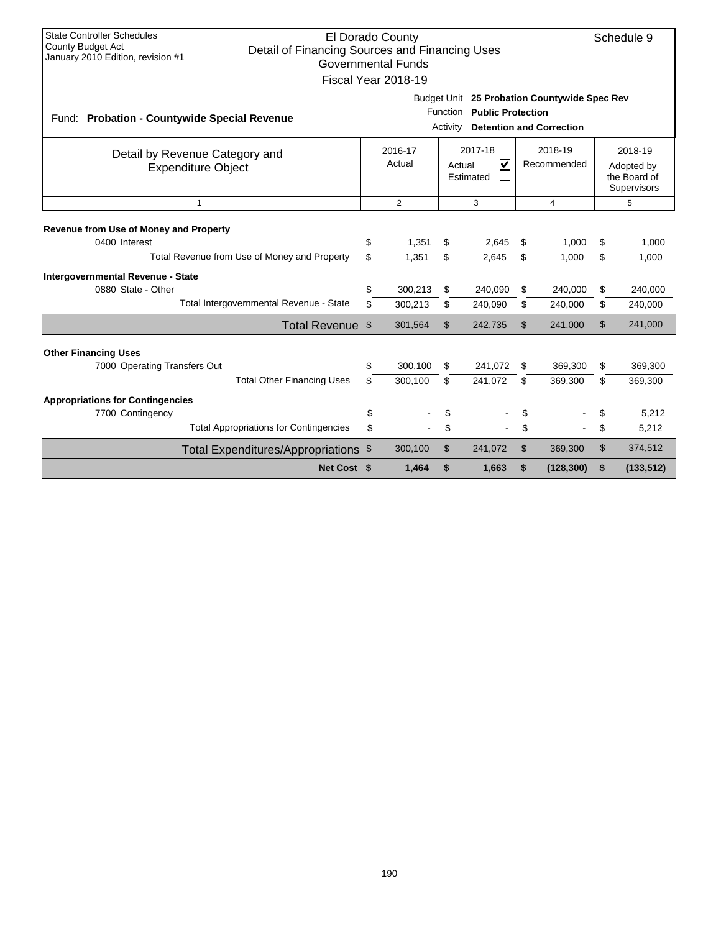| <b>State Controller Schedules</b><br>El Dorado County<br>Schedule 9<br><b>County Budget Act</b><br>Detail of Financing Sources and Financing Uses<br>January 2010 Edition, revision #1<br><b>Governmental Funds</b><br>Fiscal Year 2018-19 |                                                            |                   |                    |                                                           |                                                                          |                        |                                 |                                                      |                    |  |
|--------------------------------------------------------------------------------------------------------------------------------------------------------------------------------------------------------------------------------------------|------------------------------------------------------------|-------------------|--------------------|-----------------------------------------------------------|--------------------------------------------------------------------------|------------------------|---------------------------------|------------------------------------------------------|--------------------|--|
| Fund: Probation - Countywide Special Revenue                                                                                                                                                                                               |                                                            |                   |                    | Function<br>Activity                                      | Budget Unit 25 Probation Countywide Spec Rev<br><b>Public Protection</b> |                        | <b>Detention and Correction</b> |                                                      |                    |  |
| Detail by Revenue Category and<br><b>Expenditure Object</b>                                                                                                                                                                                |                                                            | 2016-17<br>Actual |                    | 2017-18<br>$\overline{\mathbf{v}}$<br>Actual<br>Estimated |                                                                          | 2018-19<br>Recommended |                                 | 2018-19<br>Adopted by<br>the Board of<br>Supervisors |                    |  |
|                                                                                                                                                                                                                                            | $\overline{2}$<br>3<br>$\overline{4}$<br>5<br>$\mathbf{1}$ |                   |                    |                                                           |                                                                          |                        |                                 |                                                      |                    |  |
| Revenue from Use of Money and Property<br>0400 Interest<br>Total Revenue from Use of Money and Property                                                                                                                                    | \$<br>\$                                                   | 1,351<br>1,351    | \$<br>\$           | 2,645<br>2,645                                            | \$<br>\$                                                                 | 1,000<br>1,000         | \$<br>\$                        | 1,000<br>1,000                                       |                    |  |
| Intergovernmental Revenue - State<br>0880 State - Other                                                                                                                                                                                    | Total Intergovernmental Revenue - State                    | \$<br>\$          | 300,213<br>300,213 | \$<br>\$                                                  | 240,090<br>240,090                                                       | \$<br>\$               | 240,000<br>240,000              | \$<br>\$                                             | 240,000<br>240,000 |  |
|                                                                                                                                                                                                                                            | Total Revenue \$                                           |                   | 301,564            | $\mathfrak{L}$                                            | 242,735                                                                  | \$                     | 241,000                         | \$                                                   | 241,000            |  |
| <b>Other Financing Uses</b><br>7000 Operating Transfers Out                                                                                                                                                                                | <b>Total Other Financing Uses</b>                          | \$<br>\$          | 300.100<br>300,100 | \$<br>\$                                                  | 241,072<br>241,072                                                       | \$<br>\$               | 369.300<br>369,300              | \$<br>\$                                             | 369,300<br>369,300 |  |
| <b>Appropriations for Contingencies</b><br>7700 Contingency                                                                                                                                                                                |                                                            | \$                |                    | \$                                                        |                                                                          | \$                     |                                 | \$                                                   | 5,212              |  |
|                                                                                                                                                                                                                                            | <b>Total Appropriations for Contingencies</b>              | \$                |                    | \$                                                        |                                                                          | \$                     |                                 | \$                                                   | 5,212              |  |
|                                                                                                                                                                                                                                            | Total Expenditures/Appropriations \$                       |                   | 300,100            | \$                                                        | 241,072                                                                  | \$                     | 369,300                         | \$                                                   | 374,512            |  |
|                                                                                                                                                                                                                                            | Net Cost \$                                                |                   | 1,464              | \$                                                        | 1,663                                                                    | \$                     | (128, 300)                      | \$                                                   | (133, 512)         |  |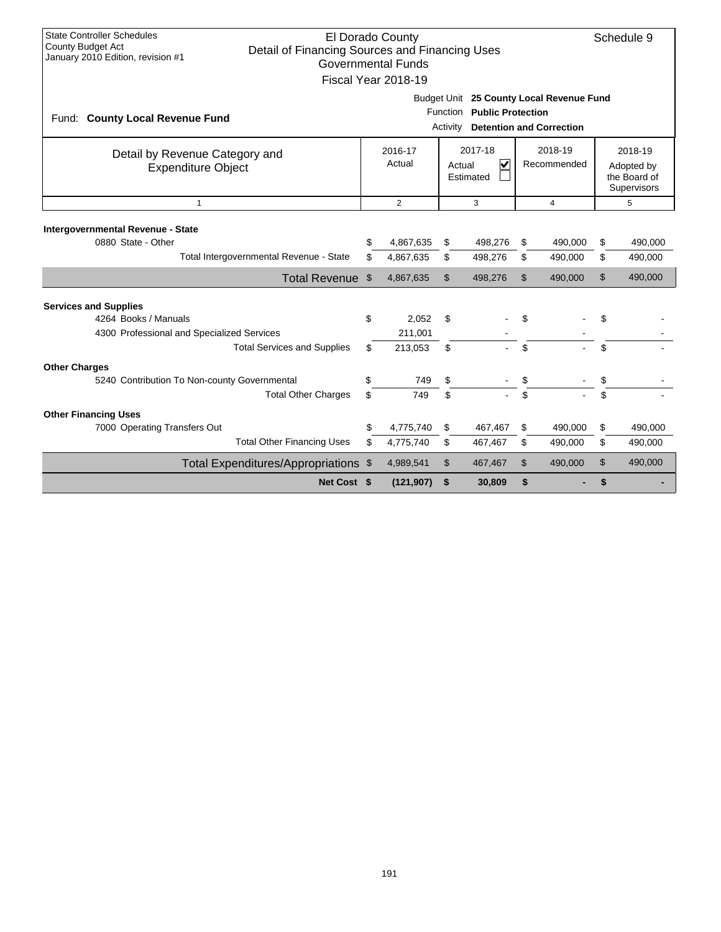| <b>State Controller Schedules</b><br>County Budget Act<br>January 2010 Edition, revision #1                                              | El Dorado County<br>Schedule 9<br>Detail of Financing Sources and Financing Uses<br><b>Governmental Funds</b><br>Fiscal Year 2018-19 |                             |                |                    |                |                    |                                                      |                    |  |
|------------------------------------------------------------------------------------------------------------------------------------------|--------------------------------------------------------------------------------------------------------------------------------------|-----------------------------|----------------|--------------------|----------------|--------------------|------------------------------------------------------|--------------------|--|
| Fund: County Local Revenue Fund                                                                                                          | Budget Unit 25 County Local Revenue Fund<br>Function Public Protection<br><b>Detention and Correction</b><br>Activity                |                             |                |                    |                |                    |                                                      |                    |  |
| Detail by Revenue Category and<br><b>Expenditure Object</b>                                                                              | 2017-18<br>2018-19<br>2016-17<br>Actual<br>$\overline{\mathbf{v}}$<br>Recommended<br>Actual<br>Estimated                             |                             |                |                    |                |                    | 2018-19<br>Adopted by<br>the Board of<br>Supervisors |                    |  |
| $\mathbf{1}$                                                                                                                             | $\overline{2}$<br>3<br>4                                                                                                             |                             |                |                    |                |                    |                                                      | 5                  |  |
| Intergovernmental Revenue - State<br>0880 State - Other<br>Total Intergovernmental Revenue - State                                       | \$<br>\$                                                                                                                             | 4,867,635<br>4,867,635      | \$<br>\$       | 498,276<br>498,276 | \$<br>\$       | 490,000<br>490,000 | \$<br>\$                                             | 490,000<br>490,000 |  |
| Total Revenue \$                                                                                                                         |                                                                                                                                      | 4,867,635                   | \$             | 498,276            | $\mathfrak{L}$ | 490,000            | $\mathfrak{S}$                                       | 490,000            |  |
| <b>Services and Supplies</b><br>4264 Books / Manuals<br>4300 Professional and Specialized Services<br><b>Total Services and Supplies</b> | \$<br>\$                                                                                                                             | 2,052<br>211,001<br>213,053 | \$<br>\$       |                    | \$             |                    | \$<br>\$                                             |                    |  |
| <b>Other Charges</b><br>5240 Contribution To Non-county Governmental<br><b>Total Other Charges</b>                                       | \$<br>\$                                                                                                                             | 749<br>749                  | \$<br>\$       |                    | \$             |                    | \$                                                   |                    |  |
| <b>Other Financing Uses</b><br>7000 Operating Transfers Out<br><b>Total Other Financing Uses</b>                                         | \$<br>\$                                                                                                                             | 4,775,740<br>4,775,740      | \$<br>\$       | 467,467<br>467,467 | \$<br>\$       | 490,000<br>490,000 | \$<br>\$                                             | 490,000<br>490,000 |  |
| Total Expenditures/Appropriations \$                                                                                                     |                                                                                                                                      | 4,989,541                   | $\mathfrak{L}$ | 467,467            | \$             | 490,000            | $\mathfrak{L}$                                       | 490,000            |  |
| Net Cost \$                                                                                                                              |                                                                                                                                      | (121, 907)                  | \$             | 30,809             | \$             |                    | \$                                                   |                    |  |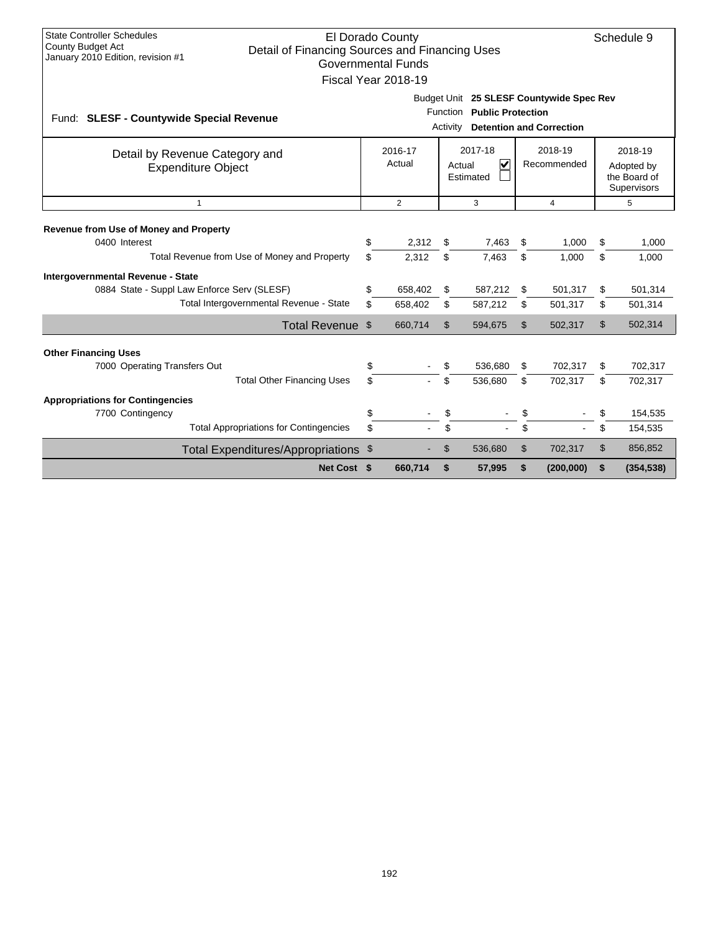| <b>State Controller Schedules</b><br>El Dorado County<br>Schedule 9<br><b>County Budget Act</b><br>Detail of Financing Sources and Financing Uses<br>January 2010 Edition, revision #1<br><b>Governmental Funds</b><br>Fiscal Year 2018-19 |             |          |                                                                                |                      |                          |          |                                                                             |          |                                                      |  |
|--------------------------------------------------------------------------------------------------------------------------------------------------------------------------------------------------------------------------------------------|-------------|----------|--------------------------------------------------------------------------------|----------------------|--------------------------|----------|-----------------------------------------------------------------------------|----------|------------------------------------------------------|--|
| Fund: SLESF - Countywide Special Revenue                                                                                                                                                                                                   |             |          |                                                                                | Function<br>Activity | <b>Public Protection</b> |          | Budget Unit 25 SLESF Countywide Spec Rev<br><b>Detention and Correction</b> |          |                                                      |  |
| Detail by Revenue Category and<br><b>Expenditure Object</b>                                                                                                                                                                                |             |          | 2017-18<br>2016-17<br>Actual<br>$\overline{\mathbf{v}}$<br>Actual<br>Estimated |                      |                          |          | 2018-19<br>Recommended                                                      |          | 2018-19<br>Adopted by<br>the Board of<br>Supervisors |  |
| $\overline{2}$<br>3<br>5<br>$\mathbf{1}$<br>$\overline{4}$                                                                                                                                                                                 |             |          |                                                                                |                      |                          |          |                                                                             |          |                                                      |  |
| Revenue from Use of Money and Property<br>0400 Interest<br>Total Revenue from Use of Money and Property                                                                                                                                    |             | \$<br>\$ | 2,312<br>2,312                                                                 | \$<br>\$             | 7,463<br>7,463           | \$       | 1,000<br>1,000                                                              | \$<br>\$ | 1,000<br>1,000                                       |  |
| Intergovernmental Revenue - State<br>0884 State - Suppl Law Enforce Serv (SLESF)<br>Total Intergovernmental Revenue - State                                                                                                                |             | \$<br>\$ | 658,402<br>658,402                                                             | \$<br>\$             | 587,212<br>587,212       | \$<br>\$ | 501,317<br>501,317                                                          | \$<br>\$ | 501,314<br>501,314                                   |  |
| Total Revenue \$                                                                                                                                                                                                                           |             |          | 660,714                                                                        | \$                   | 594,675                  | \$       | 502,317                                                                     | \$       | 502,314                                              |  |
| <b>Other Financing Uses</b><br>7000 Operating Transfers Out<br><b>Total Other Financing Uses</b>                                                                                                                                           |             | \$<br>\$ |                                                                                | S<br>\$.             | 536,680<br>536,680       | \$<br>\$ | 702,317<br>702,317                                                          | \$<br>\$ | 702,317<br>702,317                                   |  |
| <b>Appropriations for Contingencies</b><br>7700 Contingency<br><b>Total Appropriations for Contingencies</b>                                                                                                                               |             | \$<br>\$ |                                                                                | \$<br>\$             |                          | \$       |                                                                             | \$<br>\$ | 154,535<br>154,535                                   |  |
| Total Expenditures/Appropriations \$                                                                                                                                                                                                       |             |          |                                                                                | \$                   | 536,680                  | \$       | 702,317                                                                     | \$       | 856,852                                              |  |
|                                                                                                                                                                                                                                            | Net Cost \$ |          | 660,714                                                                        | \$                   | 57,995                   | \$       | (200,000)                                                                   | \$       | (354, 538)                                           |  |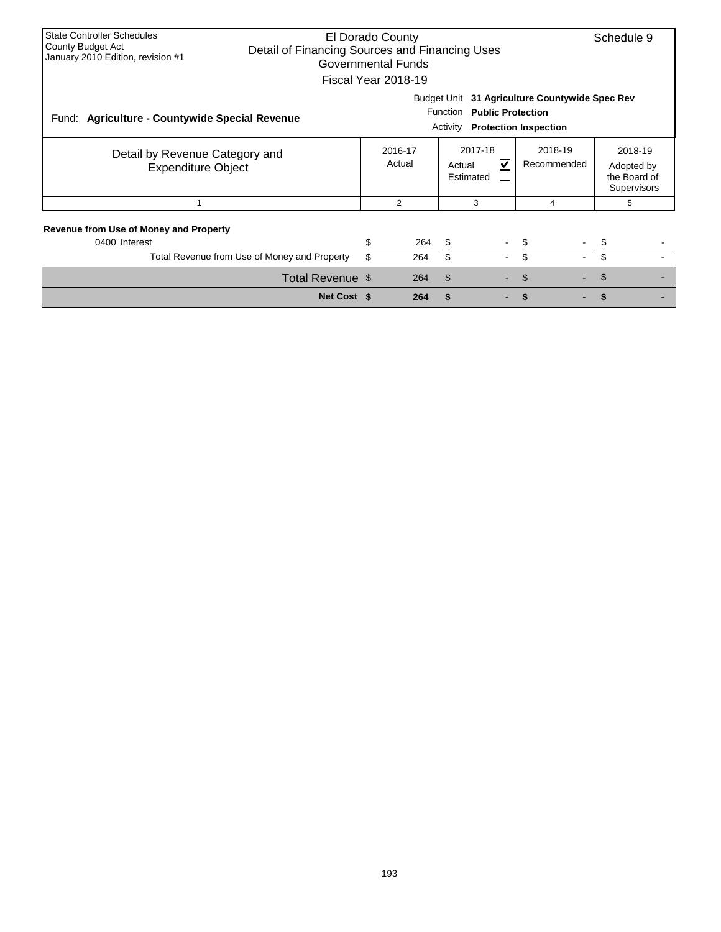| <b>State Controller Schedules</b><br>County Budget Act<br>January 2010 Edition, revision #1 | El Dorado County<br>Schedule 9<br>Detail of Financing Sources and Financing Uses<br>Governmental Funds<br>Fiscal Year 2018-19 |                                                                                    |     |                                                         |  |                                                                                |  |                                                      |  |  |  |
|---------------------------------------------------------------------------------------------|-------------------------------------------------------------------------------------------------------------------------------|------------------------------------------------------------------------------------|-----|---------------------------------------------------------|--|--------------------------------------------------------------------------------|--|------------------------------------------------------|--|--|--|
| Fund:<br><b>Agriculture - Countywide Special Revenue</b>                                    |                                                                                                                               |                                                                                    |     | <b>Function</b><br><b>Public Protection</b><br>Activity |  | Budget Unit 31 Agriculture Countywide Spec Rev<br><b>Protection Inspection</b> |  |                                                      |  |  |  |
| Detail by Revenue Category and<br><b>Expenditure Object</b>                                 |                                                                                                                               | 2017-18<br>2018-19<br>2016-17<br>Actual<br>V<br>Recommended<br>Actual<br>Estimated |     |                                                         |  |                                                                                |  | 2018-19<br>Adopted by<br>the Board of<br>Supervisors |  |  |  |
|                                                                                             |                                                                                                                               |                                                                                    | 2   | 3                                                       |  | 4                                                                              |  | 5                                                    |  |  |  |
| <b>Revenue from Use of Money and Property</b><br>0400 Interest                              | Total Revenue from Use of Money and Property                                                                                  | \$<br>\$                                                                           | 264 | S<br>\$                                                 |  | \$<br>\$                                                                       |  | \$                                                   |  |  |  |
|                                                                                             |                                                                                                                               |                                                                                    | 264 |                                                         |  |                                                                                |  |                                                      |  |  |  |
|                                                                                             | Total Revenue \$                                                                                                              |                                                                                    | 264 | \$                                                      |  | \$                                                                             |  | \$                                                   |  |  |  |
|                                                                                             | Net Cost \$                                                                                                                   |                                                                                    | 264 | \$                                                      |  |                                                                                |  |                                                      |  |  |  |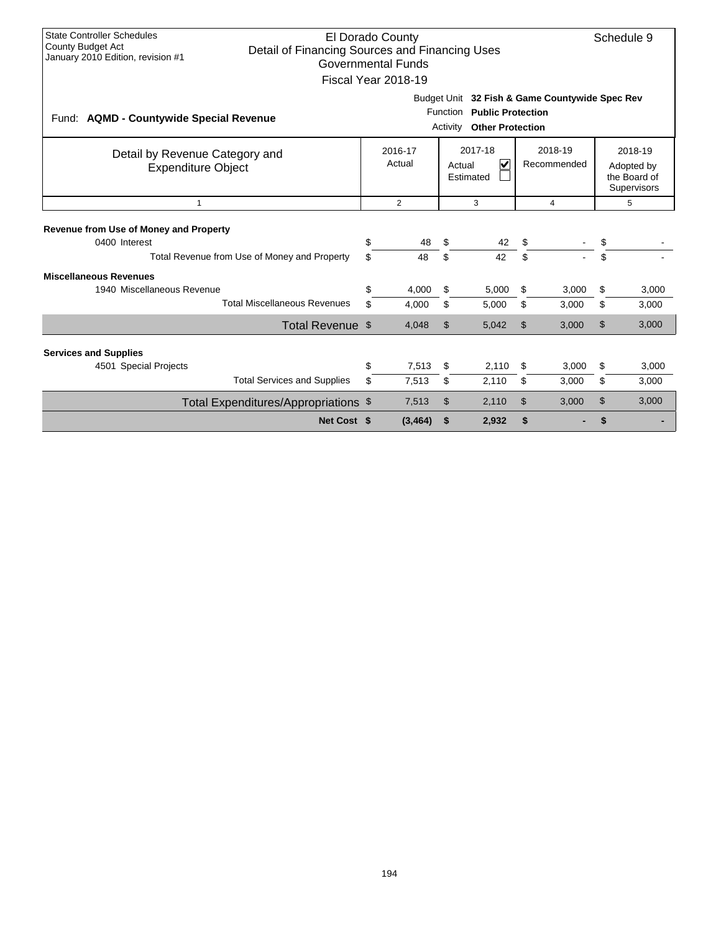| <b>State Controller Schedules</b><br>El Dorado County<br>Schedule 9<br>County Budget Act<br>Detail of Financing Sources and Financing Uses<br>January 2010 Edition, revision #1<br><b>Governmental Funds</b><br>Fiscal Year 2018-19 |                                                                                                                                                       |          |    |       |     |       |    |       |  |  |  |
|-------------------------------------------------------------------------------------------------------------------------------------------------------------------------------------------------------------------------------------|-------------------------------------------------------------------------------------------------------------------------------------------------------|----------|----|-------|-----|-------|----|-------|--|--|--|
| Fund: AQMD - Countywide Special Revenue                                                                                                                                                                                             | Budget Unit 32 Fish & Game Countywide Spec Rev<br>Function Public Protection<br><b>Other Protection</b><br>Activity                                   |          |    |       |     |       |    |       |  |  |  |
| Detail by Revenue Category and<br><b>Expenditure Object</b>                                                                                                                                                                         | 2017-18<br>2018-19<br>2016-17<br>$\overline{\mathsf{v}}$<br>Actual<br>Recommended<br>Actual<br>Adopted by<br>the Board of<br>Estimated<br>Supervisors |          |    |       |     |       |    |       |  |  |  |
| $\mathbf{1}$                                                                                                                                                                                                                        | $\overline{2}$<br>3<br>4<br>5                                                                                                                         |          |    |       |     |       |    |       |  |  |  |
| <b>Revenue from Use of Money and Property</b><br>0400 Interest                                                                                                                                                                      | \$                                                                                                                                                    | 48       | \$ | 42    | \$. |       | \$ |       |  |  |  |
| Total Revenue from Use of Money and Property                                                                                                                                                                                        | \$                                                                                                                                                    | 48       | \$ | 42    | \$  |       | \$ |       |  |  |  |
| <b>Miscellaneous Revenues</b>                                                                                                                                                                                                       |                                                                                                                                                       |          |    |       |     |       |    |       |  |  |  |
| 1940 Miscellaneous Revenue                                                                                                                                                                                                          | \$                                                                                                                                                    | 4.000    | \$ | 5,000 | \$  | 3.000 | \$ | 3,000 |  |  |  |
| <b>Total Miscellaneous Revenues</b>                                                                                                                                                                                                 | \$                                                                                                                                                    | 4,000    | \$ | 5,000 | \$  | 3,000 | \$ | 3,000 |  |  |  |
| Total Revenue \$                                                                                                                                                                                                                    |                                                                                                                                                       | 4,048    | \$ | 5,042 | \$  | 3,000 | \$ | 3,000 |  |  |  |
| <b>Services and Supplies</b>                                                                                                                                                                                                        |                                                                                                                                                       |          |    |       |     |       |    |       |  |  |  |
| 4501 Special Projects                                                                                                                                                                                                               | \$                                                                                                                                                    | 7,513    | \$ | 2,110 | \$  | 3,000 | \$ | 3,000 |  |  |  |
| <b>Total Services and Supplies</b>                                                                                                                                                                                                  | \$                                                                                                                                                    | 7,513    | \$ | 2,110 | \$  | 3,000 | \$ | 3,000 |  |  |  |
| Total Expenditures/Appropriations \$                                                                                                                                                                                                |                                                                                                                                                       | 7,513    | \$ | 2,110 | \$  | 3,000 | \$ | 3,000 |  |  |  |
| Net Cost \$                                                                                                                                                                                                                         |                                                                                                                                                       | (3, 464) | \$ | 2,932 | \$  |       | \$ |       |  |  |  |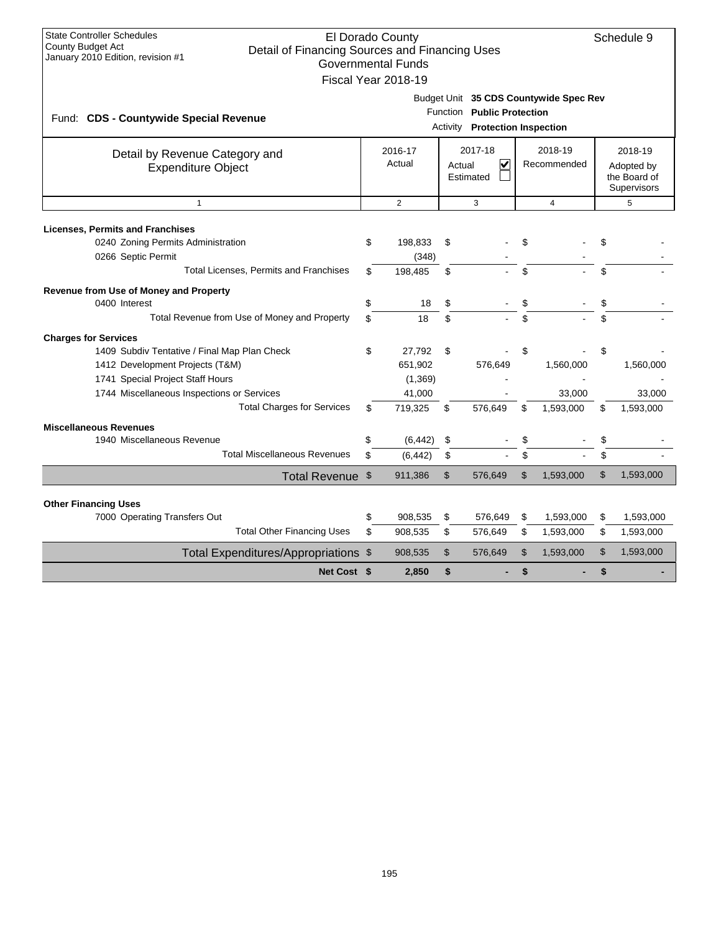| Net Cost \$                                                                                              |                                                                         |                           |                                                              |                |                |               |                                           |  |  |  |
|----------------------------------------------------------------------------------------------------------|-------------------------------------------------------------------------|---------------------------|--------------------------------------------------------------|----------------|----------------|---------------|-------------------------------------------|--|--|--|
| Total Expenditures/Appropriations \$                                                                     |                                                                         | 908,535                   | \$<br>576,649                                                | $\mathfrak{S}$ | 1,593,000      | $\mathsf{\$}$ | 1,593,000                                 |  |  |  |
| <b>Total Other Financing Uses</b>                                                                        | \$                                                                      | 908,535                   | \$<br>576,649                                                | \$             | 1,593,000      | \$            | 1,593,000                                 |  |  |  |
| 7000 Operating Transfers Out                                                                             | \$                                                                      | 908,535                   | \$<br>576,649                                                | \$             | 1,593,000      | \$            | 1,593,000                                 |  |  |  |
| <b>Other Financing Uses</b>                                                                              |                                                                         |                           |                                                              |                |                |               |                                           |  |  |  |
| Total Revenue \$                                                                                         |                                                                         | 911,386                   | \$<br>576,649                                                | \$             | 1,593,000      | \$            | 1,593,000                                 |  |  |  |
| <b>Total Miscellaneous Revenues</b>                                                                      | \$                                                                      | (6, 442)                  | \$                                                           | \$             |                | \$            |                                           |  |  |  |
| 1940 Miscellaneous Revenue                                                                               | \$                                                                      | (6, 442)                  | \$                                                           | \$             |                | \$            |                                           |  |  |  |
| <b>Miscellaneous Revenues</b>                                                                            |                                                                         |                           |                                                              |                |                |               |                                           |  |  |  |
| <b>Total Charges for Services</b>                                                                        | \$                                                                      | 719,325                   | \$<br>576,649                                                | \$             | 1,593,000      | \$            | 1,593,000                                 |  |  |  |
| 1744 Miscellaneous Inspections or Services                                                               |                                                                         | 41,000                    |                                                              |                | 33,000         |               | 33,000                                    |  |  |  |
| 1741 Special Project Staff Hours                                                                         |                                                                         | (1, 369)                  |                                                              |                |                |               |                                           |  |  |  |
| 1412 Development Projects (T&M)                                                                          |                                                                         | 651,902                   | 576,649                                                      |                | 1,560,000      |               | 1,560,000                                 |  |  |  |
| <b>Charges for Services</b><br>1409 Subdiv Tentative / Final Map Plan Check                              | \$                                                                      | 27,792                    | \$                                                           | \$             |                | \$            |                                           |  |  |  |
|                                                                                                          |                                                                         |                           |                                                              |                |                |               |                                           |  |  |  |
| Total Revenue from Use of Money and Property                                                             | \$                                                                      | 18                        | \$                                                           |                |                | \$            |                                           |  |  |  |
| Revenue from Use of Money and Property<br>0400 Interest                                                  | \$                                                                      | 18                        | \$                                                           |                |                | \$            |                                           |  |  |  |
|                                                                                                          |                                                                         |                           |                                                              |                |                |               |                                           |  |  |  |
| 0266 Septic Permit<br>Total Licenses, Permits and Franchises                                             | \$                                                                      | (348)<br>198.485          | \$                                                           |                |                | \$            |                                           |  |  |  |
| 0240 Zoning Permits Administration                                                                       | \$                                                                      | 198.833                   | \$                                                           |                |                | \$            |                                           |  |  |  |
| <b>Licenses, Permits and Franchises</b>                                                                  |                                                                         |                           |                                                              |                |                |               |                                           |  |  |  |
| $\mathbf{1}$                                                                                             |                                                                         | 2                         | 3                                                            |                | $\overline{4}$ |               | 5                                         |  |  |  |
| <b>Expenditure Object</b>                                                                                | $\overline{\mathsf{v}}$<br>Actual<br>Recommended<br>Actual<br>Estimated |                           |                                                              |                |                |               | Adopted by<br>the Board of<br>Supervisors |  |  |  |
| Detail by Revenue Category and                                                                           |                                                                         | 2016-17                   | 2017-18                                                      |                | 2018-19        |               | 2018-19                                   |  |  |  |
| Fund: CDS - Countywide Special Revenue                                                                   |                                                                         |                           | Function Public Protection<br>Activity Protection Inspection |                |                |               |                                           |  |  |  |
|                                                                                                          |                                                                         |                           | Budget Unit 35 CDS Countywide Spec Rev                       |                |                |               |                                           |  |  |  |
|                                                                                                          |                                                                         | Fiscal Year 2018-19       |                                                              |                |                |               |                                           |  |  |  |
| County Budget Act<br>Detail of Financing Sources and Financing Uses<br>January 2010 Edition, revision #1 |                                                                         | <b>Governmental Funds</b> |                                                              |                |                |               |                                           |  |  |  |
| <b>State Controller Schedules</b>                                                                        | El Dorado County<br>Schedule 9                                          |                           |                                                              |                |                |               |                                           |  |  |  |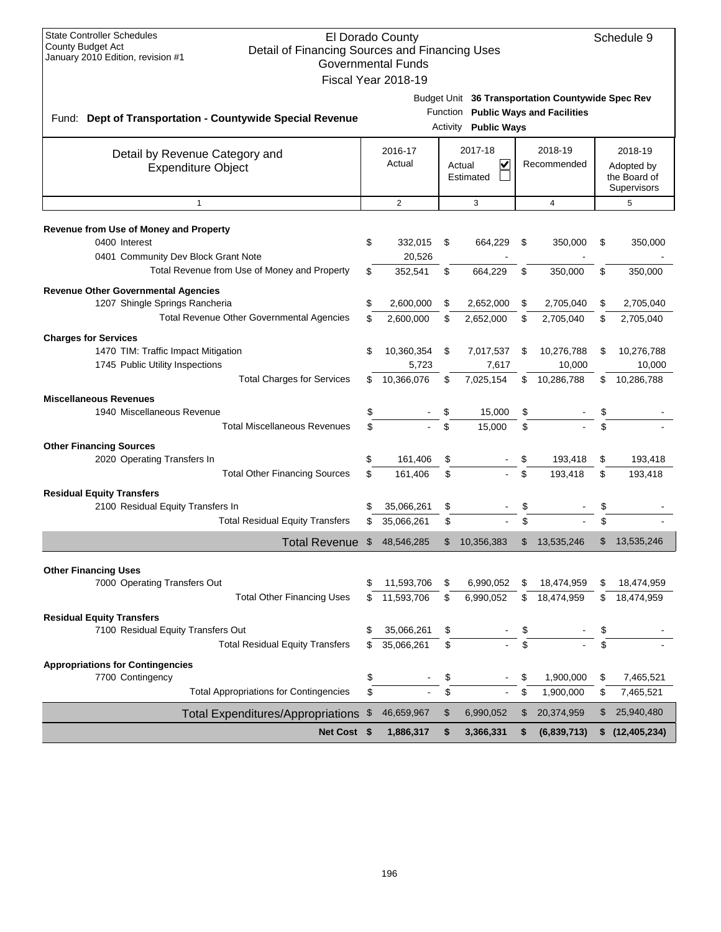| <b>State Controller Schedules</b><br>El Dorado County<br><b>County Budget Act</b><br>Detail of Financing Sources and Financing Uses<br>January 2010 Edition, revision #1<br><b>Governmental Funds</b> |     |                     |    |                                                                                          |    |                        |    |                                                      |  |
|-------------------------------------------------------------------------------------------------------------------------------------------------------------------------------------------------------|-----|---------------------|----|------------------------------------------------------------------------------------------|----|------------------------|----|------------------------------------------------------|--|
|                                                                                                                                                                                                       |     | Fiscal Year 2018-19 |    |                                                                                          |    |                        |    |                                                      |  |
|                                                                                                                                                                                                       |     |                     |    |                                                                                          |    |                        |    |                                                      |  |
| Fund: Dept of Transportation - Countywide Special Revenue                                                                                                                                             |     |                     |    | Budget Unit 36 Transportation Countywide Spec Rev<br>Function Public Ways and Facilities |    |                        |    |                                                      |  |
|                                                                                                                                                                                                       |     |                     |    | <b>Activity Public Ways</b>                                                              |    |                        |    |                                                      |  |
| Detail by Revenue Category and<br><b>Expenditure Object</b>                                                                                                                                           |     | 2016-17<br>Actual   |    | 2017-18<br>V<br>Actual<br>Estimated                                                      |    | 2018-19<br>Recommended |    | 2018-19<br>Adopted by<br>the Board of<br>Supervisors |  |
| $\mathbf{1}$                                                                                                                                                                                          |     | $\overline{2}$      |    | 3                                                                                        |    | $\overline{4}$         |    | 5                                                    |  |
| Revenue from Use of Money and Property                                                                                                                                                                |     |                     |    |                                                                                          |    |                        |    |                                                      |  |
| 0400 Interest<br>0401 Community Dev Block Grant Note                                                                                                                                                  | \$  | 332,015<br>20,526   | \$ | 664,229                                                                                  | \$ | 350,000                | \$ | 350,000                                              |  |
| Total Revenue from Use of Money and Property                                                                                                                                                          | \$  | 352,541             | \$ | 664,229                                                                                  | \$ | 350,000                | \$ | 350,000                                              |  |
| <b>Revenue Other Governmental Agencies</b>                                                                                                                                                            |     |                     |    |                                                                                          |    |                        |    |                                                      |  |
| 1207 Shingle Springs Rancheria                                                                                                                                                                        | \$  | 2,600,000           | \$ | 2,652,000                                                                                | \$ | 2,705,040              | \$ | 2,705,040                                            |  |
| <b>Total Revenue Other Governmental Agencies</b>                                                                                                                                                      |     | 2,600,000           | \$ | 2,652,000                                                                                | \$ | 2,705,040              | \$ | 2,705,040                                            |  |
| <b>Charges for Services</b>                                                                                                                                                                           |     |                     |    |                                                                                          |    |                        |    |                                                      |  |
| 1470 TIM: Traffic Impact Mitigation                                                                                                                                                                   | \$  | 10,360,354          | \$ | 7,017,537                                                                                | \$ | 10,276,788             | \$ | 10,276,788                                           |  |
| 1745 Public Utility Inspections<br><b>Total Charges for Services</b>                                                                                                                                  | \$. | 5,723<br>10,366,076 | \$ | 7,617<br>7,025,154                                                                       | \$ | 10,000<br>10,286,788   | \$ | 10,000<br>10,286,788                                 |  |
|                                                                                                                                                                                                       |     |                     |    |                                                                                          |    |                        |    |                                                      |  |
| <b>Miscellaneous Revenues</b><br>1940 Miscellaneous Revenue                                                                                                                                           | \$  |                     | \$ | 15,000                                                                                   | \$ |                        | \$ |                                                      |  |
| <b>Total Miscellaneous Revenues</b>                                                                                                                                                                   | \$  |                     | \$ | 15,000                                                                                   | \$ |                        | \$ |                                                      |  |
| <b>Other Financing Sources</b>                                                                                                                                                                        |     |                     |    |                                                                                          |    |                        |    |                                                      |  |
| 2020 Operating Transfers In                                                                                                                                                                           | \$  | 161,406             | \$ |                                                                                          | \$ | 193,418                | \$ | 193,418                                              |  |
| <b>Total Other Financing Sources</b>                                                                                                                                                                  | \$  | 161,406             | \$ |                                                                                          | \$ | 193,418                | \$ | 193,418                                              |  |
| <b>Residual Equity Transfers</b>                                                                                                                                                                      |     |                     |    |                                                                                          |    |                        |    |                                                      |  |
| 2100 Residual Equity Transfers In                                                                                                                                                                     |     | 35,066,261          | \$ |                                                                                          |    |                        |    |                                                      |  |
| <b>Total Residual Equity Transfers</b>                                                                                                                                                                | \$  | 35,066,261          | \$ |                                                                                          | \$ |                        |    |                                                      |  |
| Total Revenue \$                                                                                                                                                                                      |     | 48,546,285          | \$ | 10,356,383                                                                               | \$ | 13,535,246             | \$ | 13,535,246                                           |  |
| <b>Other Financing Uses</b>                                                                                                                                                                           |     |                     |    |                                                                                          |    |                        |    |                                                      |  |
| 7000 Operating Transfers Out                                                                                                                                                                          | \$  | 11,593,706          | \$ | 6,990,052                                                                                | \$ | 18,474,959             | \$ | 18,474,959                                           |  |
| <b>Total Other Financing Uses</b>                                                                                                                                                                     | \$  | 11,593,706          | \$ | 6,990,052                                                                                | \$ | 18,474,959             | \$ | 18,474,959                                           |  |
| <b>Residual Equity Transfers</b>                                                                                                                                                                      |     |                     |    |                                                                                          |    |                        |    |                                                      |  |
| 7100 Residual Equity Transfers Out                                                                                                                                                                    | \$  | 35,066,261          | \$ |                                                                                          | \$ |                        | \$ |                                                      |  |
| <b>Total Residual Equity Transfers</b>                                                                                                                                                                | \$  | 35,066,261          | \$ |                                                                                          | \$ |                        | \$ |                                                      |  |
| <b>Appropriations for Contingencies</b>                                                                                                                                                               |     |                     |    |                                                                                          |    |                        |    |                                                      |  |
| 7700 Contingency                                                                                                                                                                                      | \$  |                     | \$ |                                                                                          | \$ | 1,900,000              | \$ | 7,465,521                                            |  |
| <b>Total Appropriations for Contingencies</b>                                                                                                                                                         | \$  |                     | \$ |                                                                                          | \$ | 1,900,000              | \$ | 7,465,521                                            |  |
| <b>Total Expenditures/Appropriations</b>                                                                                                                                                              | \$  | 46,659,967          | \$ | 6,990,052                                                                                | \$ | 20,374,959             | \$ | 25,940,480                                           |  |
| Net Cost \$                                                                                                                                                                                           |     | 1,886,317           | \$ | 3,366,331                                                                                | \$ | (6,839,713)            |    | \$(12, 405, 234)                                     |  |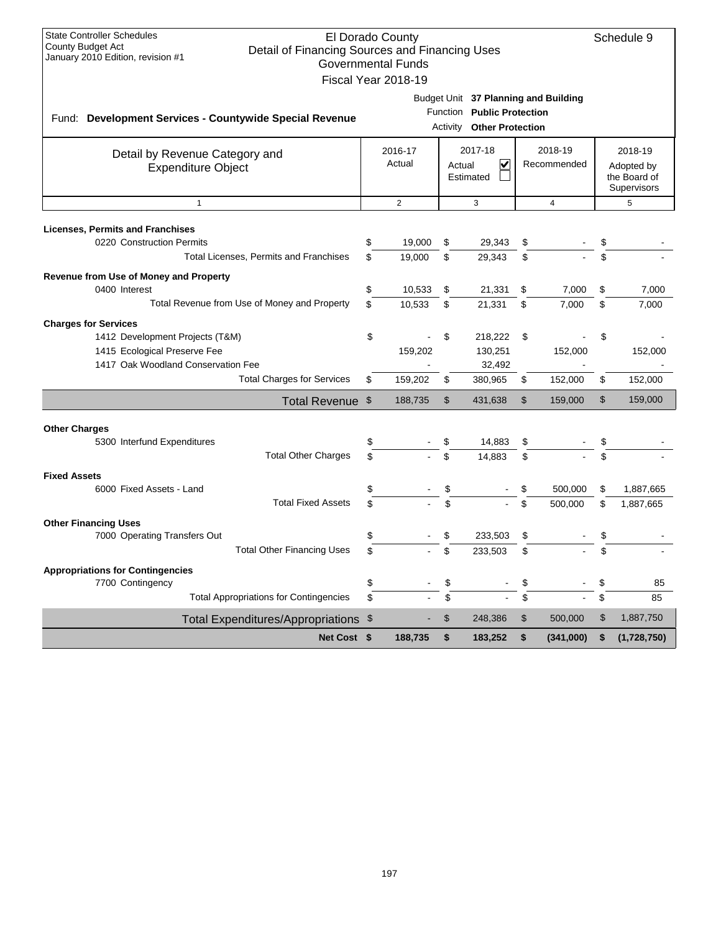| <b>State Controller Schedules</b><br>El Dorado County<br><b>County Budget Act</b><br>Detail of Financing Sources and Financing Uses<br>January 2010 Edition, revision #1<br><b>Governmental Funds</b><br>Fiscal Year 2018-19 |             |                         |                                                          |          |                                                                                                 |          |                        |                |                                                      |
|------------------------------------------------------------------------------------------------------------------------------------------------------------------------------------------------------------------------------|-------------|-------------------------|----------------------------------------------------------|----------|-------------------------------------------------------------------------------------------------|----------|------------------------|----------------|------------------------------------------------------|
| Fund: Development Services - Countywide Special Revenue                                                                                                                                                                      |             |                         |                                                          |          | Budget Unit 37 Planning and Building<br>Function Public Protection<br>Activity Other Protection |          |                        |                |                                                      |
| Detail by Revenue Category and<br><b>Expenditure Object</b>                                                                                                                                                                  |             |                         | 2017-18<br>2016-17<br>Actual<br>V<br>Actual<br>Estimated |          |                                                                                                 |          | 2018-19<br>Recommended |                | 2018-19<br>Adopted by<br>the Board of<br>Supervisors |
| $\mathbf{1}$                                                                                                                                                                                                                 |             |                         | $\overline{2}$                                           |          | 3                                                                                               |          | $\overline{4}$         |                | 5                                                    |
| <b>Licenses, Permits and Franchises</b><br>0220 Construction Permits<br>Total Licenses, Permits and Franchises                                                                                                               |             | \$<br>\$                | 19,000<br>19,000                                         | \$<br>\$ | 29,343<br>29,343                                                                                | \$<br>\$ |                        | \$<br>\$       |                                                      |
| Revenue from Use of Money and Property<br>0400 Interest<br>Total Revenue from Use of Money and Property                                                                                                                      |             | \$<br>\$                | 10,533<br>10,533                                         | \$<br>\$ | 21,331<br>21,331                                                                                | \$<br>\$ | 7,000<br>7,000         | \$<br>\$       | 7,000<br>7,000                                       |
| <b>Charges for Services</b><br>1412 Development Projects (T&M)<br>1415 Ecological Preserve Fee<br>1417 Oak Woodland Conservation Fee                                                                                         |             | \$                      | 159,202                                                  | \$       | 218,222<br>130,251<br>32,492                                                                    | \$       | 152,000                | \$             | 152,000                                              |
| <b>Total Charges for Services</b>                                                                                                                                                                                            |             | \$                      | 159,202                                                  | \$       | 380,965                                                                                         | \$       | 152,000                | \$             | 152,000                                              |
| <b>Total Revenue</b>                                                                                                                                                                                                         |             | \$                      | 188,735                                                  | \$       | 431,638                                                                                         | \$       | 159,000                | $\mathfrak{S}$ | 159,000                                              |
| <b>Other Charges</b><br>5300 Interfund Expenditures<br><b>Total Other Charges</b>                                                                                                                                            |             |                         |                                                          |          | 14,883<br>14.883                                                                                | \$       |                        |                |                                                      |
| <b>Fixed Assets</b><br>6000 Fixed Assets - Land<br><b>Total Fixed Assets</b>                                                                                                                                                 |             | \$<br>\$                |                                                          | \$<br>\$ |                                                                                                 | \$<br>\$ | 500,000<br>500,000     | \$<br>\$       | 1,887,665<br>1,887,665                               |
| <b>Other Financing Uses</b><br>7000 Operating Transfers Out<br><b>Total Other Financing Uses</b>                                                                                                                             |             | \$                      |                                                          |          | 233,503<br>233,503                                                                              | \$<br>\$ |                        |                |                                                      |
| <b>Appropriations for Contingencies</b><br>7700 Contingency<br><b>Total Appropriations for Contingencies</b>                                                                                                                 |             | \$<br>\$                |                                                          | \$<br>\$ |                                                                                                 | \$<br>\$ |                        | \$<br>\$       | 85<br>85                                             |
|                                                                                                                                                                                                                              |             | $\sqrt[6]{\frac{1}{2}}$ |                                                          | \$       | 248,386                                                                                         | \$       | 500,000                | \$             | 1,887,750                                            |
| <b>Total Expenditures/Appropriations</b>                                                                                                                                                                                     | Net Cost \$ |                         | 188,735                                                  | \$       | 183,252                                                                                         | \$       | (341,000)              | \$             | (1,728,750)                                          |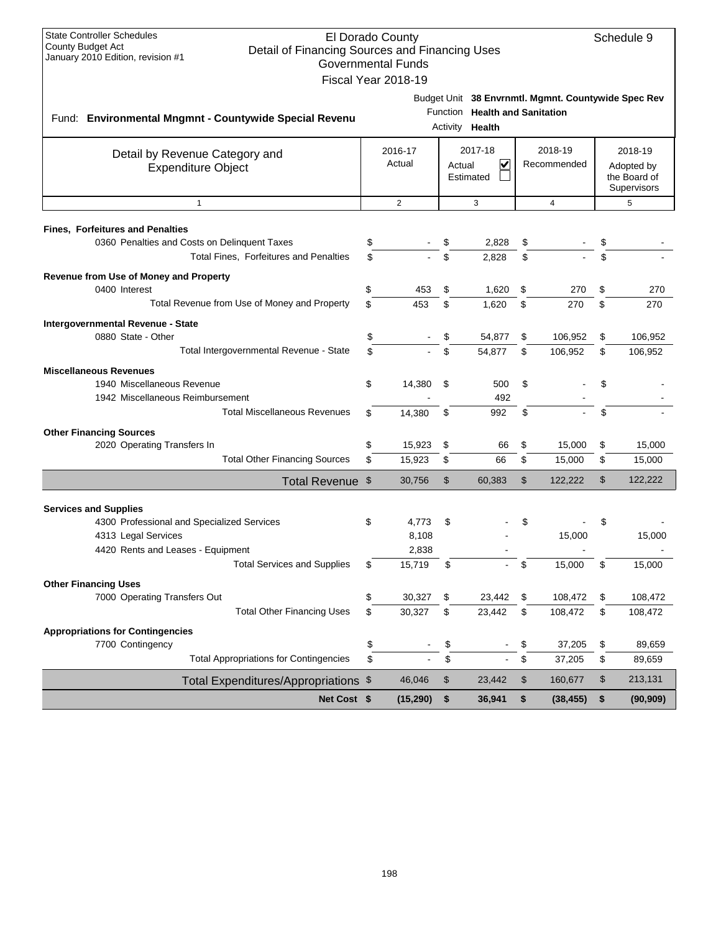| <b>State Controller Schedules</b><br>El Dorado County<br>Schedule 9                                             |          |                           |          |                                |          |                                                     |          |                            |  |  |
|-----------------------------------------------------------------------------------------------------------------|----------|---------------------------|----------|--------------------------------|----------|-----------------------------------------------------|----------|----------------------------|--|--|
| <b>County Budget Act</b><br>Detail of Financing Sources and Financing Uses<br>January 2010 Edition, revision #1 |          | <b>Governmental Funds</b> |          |                                |          |                                                     |          |                            |  |  |
|                                                                                                                 |          | Fiscal Year 2018-19       |          |                                |          |                                                     |          |                            |  |  |
|                                                                                                                 |          |                           |          |                                |          |                                                     |          |                            |  |  |
|                                                                                                                 |          |                           |          | Function Health and Sanitation |          | Budget Unit 38 Envrnmtl. Mgmnt. Countywide Spec Rev |          |                            |  |  |
| Fund: Environmental Mngmnt - Countywide Special Revenu                                                          |          |                           |          | Activity <b>Health</b>         |          |                                                     |          |                            |  |  |
|                                                                                                                 |          |                           |          |                                |          |                                                     |          |                            |  |  |
| Detail by Revenue Category and                                                                                  |          | 2016-17                   |          | 2017-18                        |          | 2018-19                                             |          | 2018-19                    |  |  |
| <b>Expenditure Object</b>                                                                                       |          | Actual                    | Actual   | V<br>Estimated                 |          | Recommended                                         |          | Adopted by<br>the Board of |  |  |
|                                                                                                                 |          |                           |          |                                |          |                                                     |          | Supervisors                |  |  |
| $\mathbf{1}$                                                                                                    |          | $\overline{2}$            |          | 3                              |          | $\overline{4}$                                      |          | 5                          |  |  |
|                                                                                                                 |          |                           |          |                                |          |                                                     |          |                            |  |  |
| <b>Fines, Forfeitures and Penalties</b><br>0360 Penalties and Costs on Delinquent Taxes                         |          |                           |          | 2,828                          |          |                                                     |          |                            |  |  |
| Total Fines, Forfeitures and Penalties                                                                          |          |                           | \$       | 2,828                          | \$<br>\$ |                                                     | \$       |                            |  |  |
|                                                                                                                 |          |                           |          |                                |          |                                                     |          |                            |  |  |
| Revenue from Use of Money and Property<br>0400 Interest                                                         | \$       | 453                       | \$       | 1,620                          | \$       | 270                                                 | \$       | 270                        |  |  |
| Total Revenue from Use of Money and Property                                                                    | \$       | 453                       | \$       | 1,620                          | \$       | 270                                                 | \$       | 270                        |  |  |
|                                                                                                                 |          |                           |          |                                |          |                                                     |          |                            |  |  |
| Intergovernmental Revenue - State<br>0880 State - Other                                                         | \$       |                           | \$       | 54,877                         | \$       | 106,952                                             | \$       | 106,952                    |  |  |
| Total Intergovernmental Revenue - State                                                                         | \$       |                           | \$       | 54,877                         | \$       | 106.952                                             | \$       | 106,952                    |  |  |
|                                                                                                                 |          |                           |          |                                |          |                                                     |          |                            |  |  |
| <b>Miscellaneous Revenues</b><br>1940 Miscellaneous Revenue                                                     | \$       | 14,380                    | \$       | 500                            | \$       |                                                     | \$       |                            |  |  |
| 1942 Miscellaneous Reimbursement                                                                                |          |                           |          | 492                            |          |                                                     |          |                            |  |  |
| <b>Total Miscellaneous Revenues</b>                                                                             | \$       | 14,380                    | \$       | 992                            | \$       |                                                     | \$       |                            |  |  |
| <b>Other Financing Sources</b>                                                                                  |          |                           |          |                                |          |                                                     |          |                            |  |  |
| 2020 Operating Transfers In                                                                                     | \$       | 15,923                    | \$       | 66                             | \$       | 15,000                                              | \$       | 15,000                     |  |  |
| <b>Total Other Financing Sources</b>                                                                            | \$       | 15,923                    | \$       | 66                             | \$       | 15,000                                              | \$       | 15,000                     |  |  |
| Total Revenue \$                                                                                                |          | 30,756                    | \$       | 60,383                         | \$       | 122,222                                             | \$       | 122,222                    |  |  |
|                                                                                                                 |          |                           |          |                                |          |                                                     |          |                            |  |  |
| <b>Services and Supplies</b>                                                                                    |          |                           |          |                                |          |                                                     |          |                            |  |  |
| 4300 Professional and Specialized Services                                                                      | \$       | 4,773                     | \$       |                                | \$       |                                                     |          |                            |  |  |
| 4313 Legal Services                                                                                             |          | 8,108                     |          |                                |          | 15,000                                              |          | 15,000                     |  |  |
| 4420 Rents and Leases - Equipment                                                                               |          | 2,838                     |          |                                |          |                                                     |          |                            |  |  |
| <b>Total Services and Supplies</b>                                                                              | \$       | 15,719                    | \$       |                                | \$       | 15,000                                              | \$       | 15,000                     |  |  |
| <b>Other Financing Uses</b>                                                                                     |          |                           |          |                                |          |                                                     |          |                            |  |  |
| 7000 Operating Transfers Out<br><b>Total Other Financing Uses</b>                                               | \$<br>\$ | 30,327                    | \$       | 23,442                         | \$       | 108,472                                             | \$       | 108,472                    |  |  |
|                                                                                                                 |          | 30,327                    | \$       | 23,442                         | \$       | 108,472                                             | \$       | 108,472                    |  |  |
| <b>Appropriations for Contingencies</b>                                                                         |          |                           |          |                                |          |                                                     |          |                            |  |  |
| 7700 Contingency<br><b>Total Appropriations for Contingencies</b>                                               | \$<br>\$ |                           | \$<br>\$ |                                | \$<br>\$ | 37,205<br>37,205                                    | \$<br>\$ | 89,659<br>89,659           |  |  |
|                                                                                                                 |          |                           |          |                                |          |                                                     |          |                            |  |  |
| Total Expenditures/Appropriations \$                                                                            |          | 46,046                    | \$       | 23,442                         | \$       | 160,677                                             | \$       | 213,131                    |  |  |
| Net Cost \$                                                                                                     |          | (15, 290)                 | \$       | 36,941                         | \$       | (38, 455)                                           | \$       | (90, 909)                  |  |  |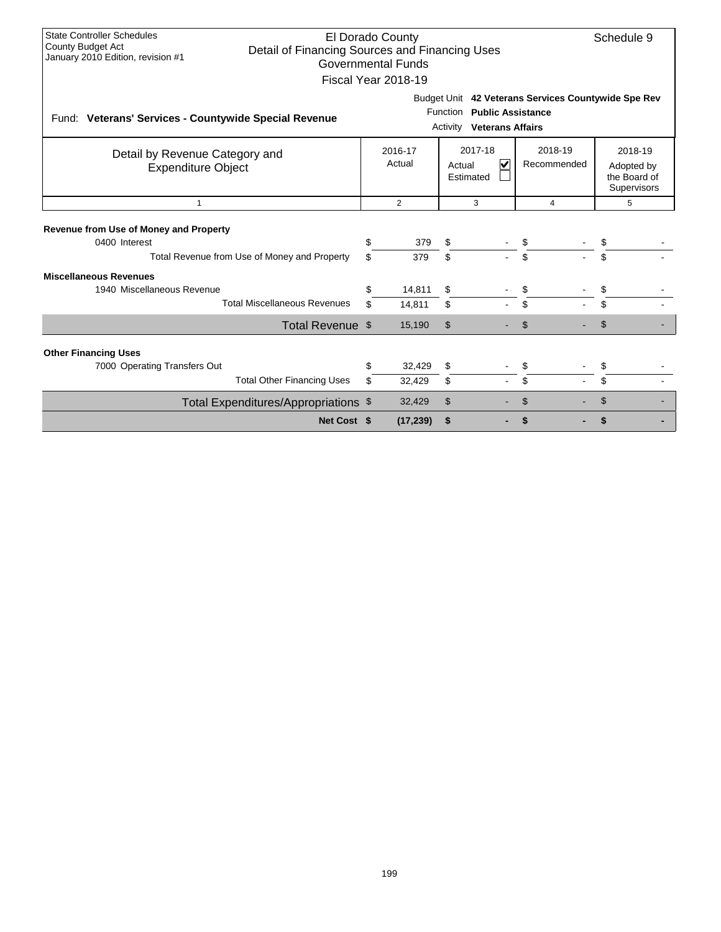| <b>State Controller Schedules</b><br>El Dorado County<br>County Budget Act<br>Detail of Financing Sources and Financing Uses<br>January 2010 Edition, revision #1<br><b>Governmental Funds</b><br>Fiscal Year 2018-19 | Schedule 9 |                   |                |                                                       |                                                     |                                                      |  |
|-----------------------------------------------------------------------------------------------------------------------------------------------------------------------------------------------------------------------|------------|-------------------|----------------|-------------------------------------------------------|-----------------------------------------------------|------------------------------------------------------|--|
| Fund: Veterans' Services - Countywide Special Revenue                                                                                                                                                                 |            |                   | Activity       | Function Public Assistance<br><b>Veterans Affairs</b> | Budget Unit 42 Veterans Services Countywide Spe Rev |                                                      |  |
| Detail by Revenue Category and<br><b>Expenditure Object</b>                                                                                                                                                           |            | 2016-17<br>Actual | Actual         | 2017-18<br>V<br>Estimated                             | 2018-19<br>Recommended                              | 2018-19<br>Adopted by<br>the Board of<br>Supervisors |  |
| -1                                                                                                                                                                                                                    |            | $\overline{2}$    |                | 3                                                     | 4                                                   | 5                                                    |  |
| <b>Revenue from Use of Money and Property</b><br>0400 Interest<br>Total Revenue from Use of Money and Property                                                                                                        | \$<br>\$.  | 379<br>379        | \$<br>\$       |                                                       | \$<br>\$                                            | \$<br>\$.                                            |  |
| <b>Miscellaneous Revenues</b><br>1940 Miscellaneous Revenue<br><b>Total Miscellaneous Revenues</b>                                                                                                                    | \$<br>\$   | 14,811<br>14,811  | \$<br>\$       |                                                       | \$<br>\$                                            | \$.                                                  |  |
| Total Revenue \$                                                                                                                                                                                                      |            | 15,190            | $\mathfrak{L}$ |                                                       | \$                                                  | \$                                                   |  |
| <b>Other Financing Uses</b>                                                                                                                                                                                           | \$         | 32,429            | \$             |                                                       |                                                     |                                                      |  |
| 7000 Operating Transfers Out<br><b>Total Other Financing Uses</b>                                                                                                                                                     | \$         | 32,429            | \$             |                                                       | \$<br>\$                                            | \$                                                   |  |
| Total Expenditures/Appropriations \$                                                                                                                                                                                  |            | 32,429            | \$             |                                                       | \$                                                  | S                                                    |  |
| Net Cost \$                                                                                                                                                                                                           |            | (17, 239)         | \$             |                                                       | \$                                                  |                                                      |  |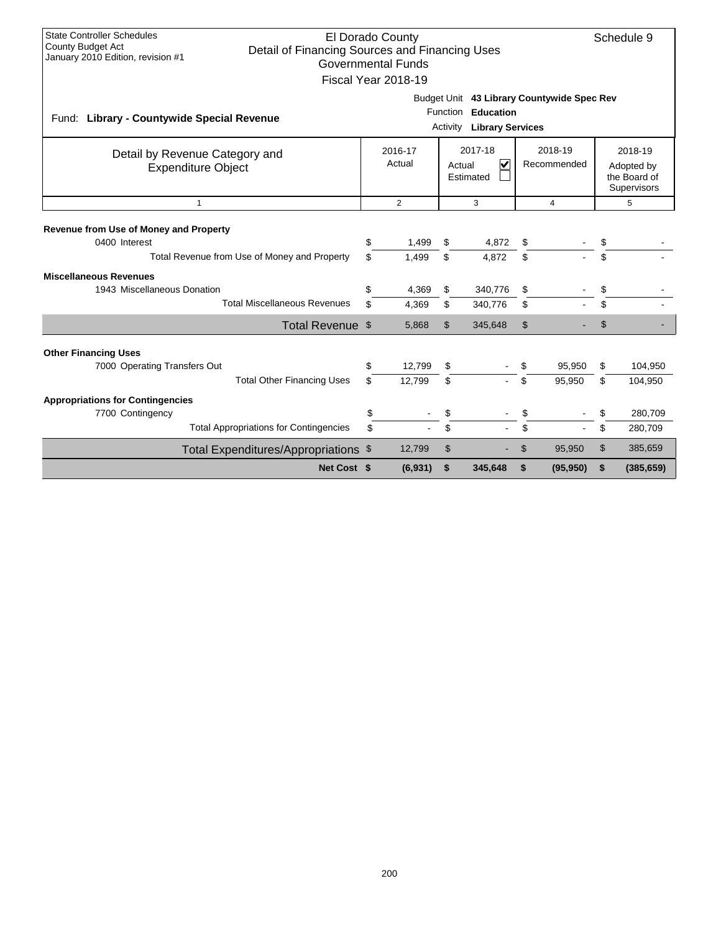| <b>State Controller Schedules</b><br>El Dorado County<br>Schedule 9<br><b>County Budget Act</b><br>Detail of Financing Sources and Financing Uses<br>January 2010 Edition, revision #1<br><b>Governmental Funds</b><br>Fiscal Year 2018-19 |                                                       |                                                                                                         |                  |                |                    |                |                        |                                                             |                    |  |
|--------------------------------------------------------------------------------------------------------------------------------------------------------------------------------------------------------------------------------------------|-------------------------------------------------------|---------------------------------------------------------------------------------------------------------|------------------|----------------|--------------------|----------------|------------------------|-------------------------------------------------------------|--------------------|--|
| Fund: Library - Countywide Special Revenue                                                                                                                                                                                                 |                                                       | Budget Unit 43 Library Countywide Spec Rev<br>Function Education<br>Activity<br><b>Library Services</b> |                  |                |                    |                |                        |                                                             |                    |  |
| 2017-18<br>2016-17<br>Detail by Revenue Category and<br>Actual<br>$\overline{\mathsf{v}}$<br>Actual<br><b>Expenditure Object</b><br>Estimated                                                                                              |                                                       |                                                                                                         |                  |                |                    |                | 2018-19<br>Recommended | 2018-19<br>Adopted by<br>the Board of<br><b>Supervisors</b> |                    |  |
|                                                                                                                                                                                                                                            | $\overline{2}$<br>3<br>$\overline{4}$<br>$\mathbf{1}$ |                                                                                                         |                  |                |                    |                |                        |                                                             |                    |  |
| Revenue from Use of Money and Property<br>0400 Interest                                                                                                                                                                                    | Total Revenue from Use of Money and Property          | \$<br>\$                                                                                                | 1,499<br>1,499   | \$<br>\$       | 4,872<br>4.872     | \$<br>\$       |                        | \$<br>\$                                                    |                    |  |
| <b>Miscellaneous Revenues</b><br>1943 Miscellaneous Donation                                                                                                                                                                               | <b>Total Miscellaneous Revenues</b>                   | \$<br>\$                                                                                                | 4,369<br>4,369   | \$<br>\$       | 340,776<br>340,776 | \$<br>\$       |                        | \$<br>\$                                                    |                    |  |
|                                                                                                                                                                                                                                            | Total Revenue \$                                      |                                                                                                         | 5,868            | $\mathfrak{L}$ | 345,648            | $\mathfrak{L}$ |                        | \$                                                          |                    |  |
| <b>Other Financing Uses</b><br>7000 Operating Transfers Out                                                                                                                                                                                | <b>Total Other Financing Uses</b>                     | \$<br>\$                                                                                                | 12,799<br>12,799 | \$<br>\$       |                    | S.<br>\$.      | 95,950<br>95,950       | \$<br>\$                                                    | 104,950<br>104,950 |  |
| <b>Appropriations for Contingencies</b><br>7700 Contingency                                                                                                                                                                                |                                                       | \$                                                                                                      |                  | \$             |                    | \$             |                        | \$                                                          | 280,709            |  |
|                                                                                                                                                                                                                                            | <b>Total Appropriations for Contingencies</b>         | \$                                                                                                      |                  | \$             |                    | \$             |                        | \$                                                          | 280,709            |  |
|                                                                                                                                                                                                                                            | Total Expenditures/Appropriations \$                  |                                                                                                         | 12,799           | \$             |                    | \$             | 95,950                 | \$                                                          | 385,659            |  |
|                                                                                                                                                                                                                                            | Net Cost \$                                           |                                                                                                         | (6, 931)         | \$             | 345,648            | S              | (95, 950)              | \$                                                          | (385, 659)         |  |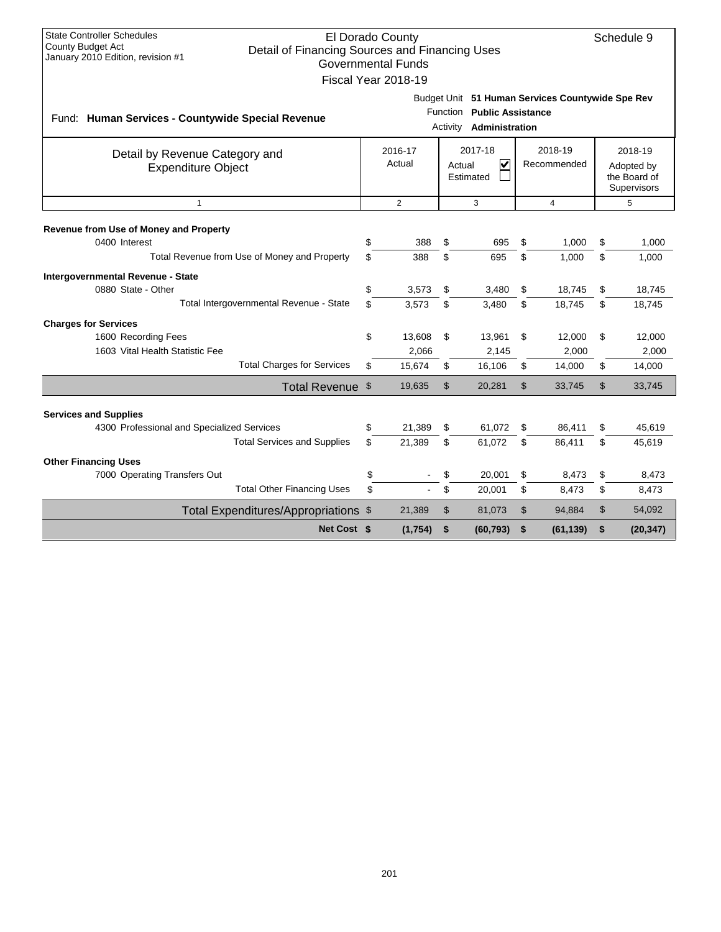| <b>State Controller Schedules</b><br>El Dorado County<br>Schedule 9<br><b>County Budget Act</b><br>Detail of Financing Sources and Financing Uses<br>January 2010 Edition, revision #1<br><b>Governmental Funds</b><br>Fiscal Year 2018-19 |                                                                                                              |                   |                |                                                                                     |                |                  |                                                      |                  |  |
|--------------------------------------------------------------------------------------------------------------------------------------------------------------------------------------------------------------------------------------------|--------------------------------------------------------------------------------------------------------------|-------------------|----------------|-------------------------------------------------------------------------------------|----------------|------------------|------------------------------------------------------|------------------|--|
| Fund: Human Services - Countywide Special Revenue                                                                                                                                                                                          | Budget Unit 51 Human Services Countywide Spe Rev<br>Function Public Assistance<br>Administration<br>Activity |                   |                |                                                                                     |                |                  |                                                      |                  |  |
| Detail by Revenue Category and<br><b>Expenditure Object</b>                                                                                                                                                                                |                                                                                                              | 2016-17<br>Actual |                | 2018-19<br>2017-18<br>$\overline{\mathsf{v}}$<br>Recommended<br>Actual<br>Estimated |                |                  | 2018-19<br>Adopted by<br>the Board of<br>Supervisors |                  |  |
| $\mathbf{1}$                                                                                                                                                                                                                               |                                                                                                              | $\overline{2}$    |                | 3                                                                                   |                | $\overline{4}$   |                                                      | 5                |  |
| Revenue from Use of Money and Property<br>0400 Interest<br>Total Revenue from Use of Money and Property                                                                                                                                    | \$<br>\$                                                                                                     | 388<br>388        | \$<br>\$       | 695<br>695                                                                          | \$<br>\$       | 1,000<br>1.000   | \$<br>\$                                             | 1,000<br>1,000   |  |
| Intergovernmental Revenue - State<br>0880 State - Other<br>Total Intergovernmental Revenue - State                                                                                                                                         | \$<br>\$                                                                                                     | 3,573<br>3.573    | \$<br>\$       | 3,480<br>3.480                                                                      | \$<br>\$       | 18,745<br>18.745 | \$<br>\$                                             | 18,745<br>18,745 |  |
| <b>Charges for Services</b><br>1600 Recording Fees<br>1603 Vital Health Statistic Fee                                                                                                                                                      | \$                                                                                                           | 13,608<br>2,066   | \$             | 13,961<br>2,145                                                                     | \$             | 12,000<br>2,000  | \$                                                   | 12,000<br>2,000  |  |
| <b>Total Charges for Services</b>                                                                                                                                                                                                          | \$                                                                                                           | 15,674            | \$             | 16,106                                                                              | \$             | 14,000           | \$                                                   | 14,000           |  |
| Total Revenue \$                                                                                                                                                                                                                           |                                                                                                              | 19,635            | $\mathfrak{S}$ | 20,281                                                                              | $\mathfrak{L}$ | 33,745           | \$                                                   | 33,745           |  |
| <b>Services and Supplies</b><br>4300 Professional and Specialized Services<br><b>Total Services and Supplies</b>                                                                                                                           | \$<br>\$                                                                                                     | 21,389<br>21,389  | \$<br>\$       | 61,072<br>61,072                                                                    | \$<br>\$       | 86,411<br>86.411 | \$<br>\$                                             | 45,619<br>45,619 |  |
| <b>Other Financing Uses</b><br>7000 Operating Transfers Out<br><b>Total Other Financing Uses</b>                                                                                                                                           | \$<br>\$                                                                                                     |                   | \$<br>\$       | 20,001<br>20,001                                                                    | \$<br>\$       | 8,473<br>8,473   | \$<br>\$                                             | 8,473<br>8,473   |  |
| Total Expenditures/Appropriations \$                                                                                                                                                                                                       |                                                                                                              | 21,389            | \$             | 81,073                                                                              | \$             | 94,884           | \$                                                   | 54,092           |  |
| Net Cost \$                                                                                                                                                                                                                                |                                                                                                              | (1,754)           | \$             | (60, 793)                                                                           | \$             | (61, 139)        | \$                                                   | (20, 347)        |  |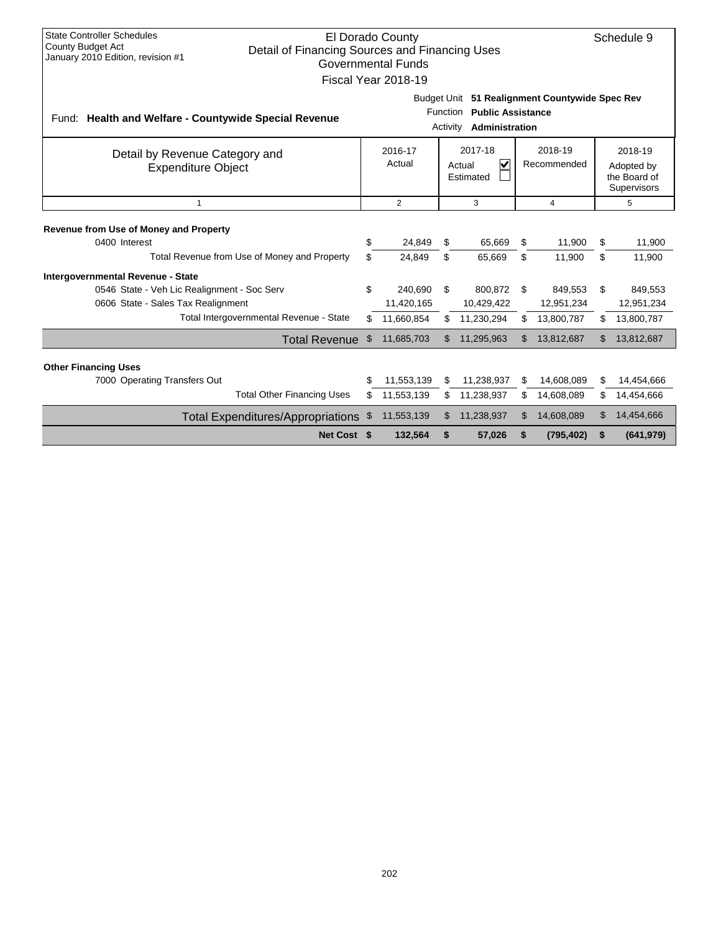| <b>State Controller Schedules</b><br>El Dorado County<br>Schedule 9<br><b>County Budget Act</b><br>Detail of Financing Sources and Financing Uses<br>January 2010 Edition, revision #1<br><b>Governmental Funds</b><br>Fiscal Year 2018-19 |                                                                                                                      |                   |     |                                                           |     |                        |     |                                                      |  |
|--------------------------------------------------------------------------------------------------------------------------------------------------------------------------------------------------------------------------------------------|----------------------------------------------------------------------------------------------------------------------|-------------------|-----|-----------------------------------------------------------|-----|------------------------|-----|------------------------------------------------------|--|
| Fund: Health and Welfare - Countywide Special Revenue                                                                                                                                                                                      | Budget Unit 51 Realignment Countywide Spec Rev<br><b>Public Assistance</b><br>Function<br>Administration<br>Activity |                   |     |                                                           |     |                        |     |                                                      |  |
| Detail by Revenue Category and<br><b>Expenditure Object</b>                                                                                                                                                                                |                                                                                                                      | 2016-17<br>Actual |     | 2017-18<br>$\overline{\mathbf{v}}$<br>Actual<br>Estimated |     | 2018-19<br>Recommended |     | 2018-19<br>Adopted by<br>the Board of<br>Supervisors |  |
| $\mathbf{1}$                                                                                                                                                                                                                               |                                                                                                                      | $\overline{2}$    |     | 3                                                         |     | 4                      |     | 5                                                    |  |
| <b>Revenue from Use of Money and Property</b>                                                                                                                                                                                              |                                                                                                                      |                   |     |                                                           |     |                        |     |                                                      |  |
| 0400 Interest                                                                                                                                                                                                                              | \$                                                                                                                   | 24.849            | \$  | 65,669                                                    | \$  | 11.900                 | \$  | 11,900                                               |  |
| Total Revenue from Use of Money and Property                                                                                                                                                                                               | \$                                                                                                                   | 24.849            | \$  | 65,669                                                    | \$  | 11,900                 | \$  | 11,900                                               |  |
| Intergovernmental Revenue - State                                                                                                                                                                                                          |                                                                                                                      |                   |     |                                                           |     |                        |     |                                                      |  |
| 0546 State - Veh Lic Realignment - Soc Serv                                                                                                                                                                                                | \$                                                                                                                   | 240,690           | \$  | 800,872                                                   | \$  | 849,553                | \$  | 849,553                                              |  |
| 0606 State - Sales Tax Realignment                                                                                                                                                                                                         |                                                                                                                      | 11,420,165        |     | 10,429,422                                                |     | 12,951,234             |     | 12,951,234                                           |  |
| Total Intergovernmental Revenue - State                                                                                                                                                                                                    | \$                                                                                                                   | 11,660,854        | \$. | 11,230,294                                                | \$  | 13,800,787             | \$. | 13,800,787                                           |  |
| Total Revenue \$                                                                                                                                                                                                                           |                                                                                                                      | 11,685,703        | \$. | 11,295,963                                                | \$. | 13,812,687             | \$  | 13,812,687                                           |  |
| <b>Other Financing Uses</b>                                                                                                                                                                                                                |                                                                                                                      |                   |     |                                                           |     |                        |     |                                                      |  |
| 7000 Operating Transfers Out                                                                                                                                                                                                               | \$                                                                                                                   | 11,553,139        | \$. | 11,238,937                                                | S   | 14,608,089             | \$  | 14,454,666                                           |  |
| <b>Total Other Financing Uses</b>                                                                                                                                                                                                          | \$                                                                                                                   | 11,553,139        |     | 11,238,937                                                | \$. | 14,608,089             | \$  | 14,454,666                                           |  |
| Total Expenditures/Appropriations \$                                                                                                                                                                                                       |                                                                                                                      | 11,553,139        | S   | 11,238,937                                                | \$  | 14,608,089             | \$  | 14,454,666                                           |  |
| Net Cost \$                                                                                                                                                                                                                                |                                                                                                                      | 132,564           | S   | 57,026                                                    |     | (795, 402)             | \$  | (641, 979)                                           |  |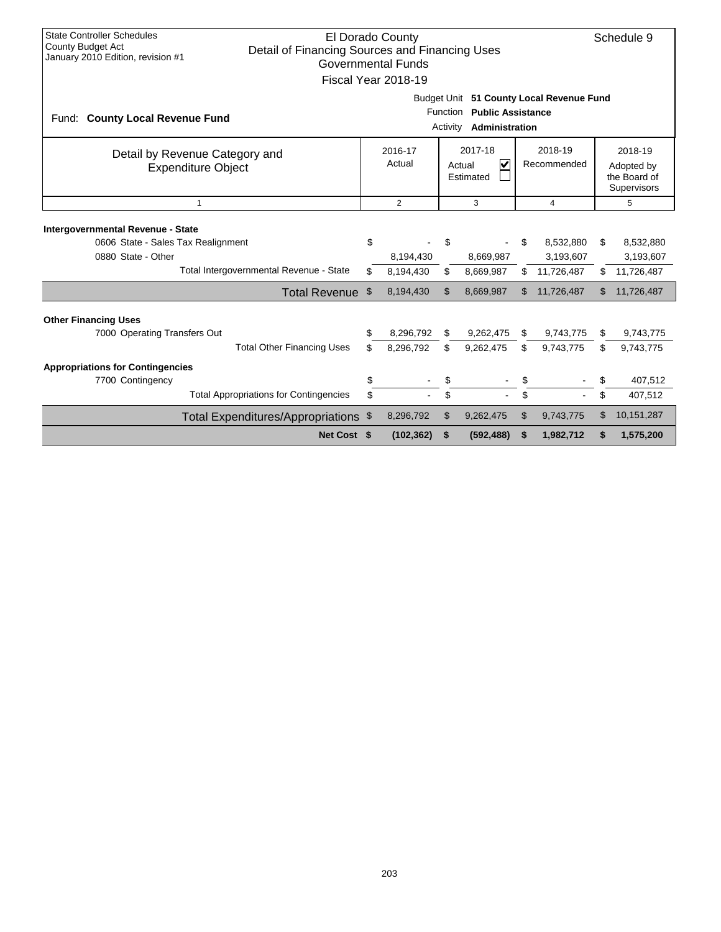| <b>State Controller Schedules</b><br>El Dorado County<br>Schedule 9<br>County Budget Act<br>Detail of Financing Sources and Financing Uses<br>January 2010 Edition, revision #1<br><b>Governmental Funds</b><br>Fiscal Year 2018-19 |                                                             |                                                                                                      |                                     |          |                                                           |           |                                                    |                  |                                                             |  |
|-------------------------------------------------------------------------------------------------------------------------------------------------------------------------------------------------------------------------------------|-------------------------------------------------------------|------------------------------------------------------------------------------------------------------|-------------------------------------|----------|-----------------------------------------------------------|-----------|----------------------------------------------------|------------------|-------------------------------------------------------------|--|
| Fund: County Local Revenue Fund                                                                                                                                                                                                     |                                                             | Budget Unit 51 County Local Revenue Fund<br>Function Public Assistance<br>Administration<br>Activity |                                     |          |                                                           |           |                                                    |                  |                                                             |  |
|                                                                                                                                                                                                                                     | Detail by Revenue Category and<br><b>Expenditure Object</b> |                                                                                                      | 2016-17<br>Actual                   |          | 2017-18<br>$\overline{\mathsf{v}}$<br>Actual<br>Estimated |           | 2018-19<br>Recommended                             |                  | 2018-19<br>Adopted by<br>the Board of<br><b>Supervisors</b> |  |
|                                                                                                                                                                                                                                     | $\mathbf{1}$                                                |                                                                                                      | $\overline{2}$                      |          | 3                                                         |           | 4                                                  |                  | 5                                                           |  |
| Intergovernmental Revenue - State<br>0606 State - Sales Tax Realignment<br>0880 State - Other                                                                                                                                       | Total Intergovernmental Revenue - State<br>Total Revenue \$ | \$<br>\$                                                                                             | 8,194,430<br>8,194,430<br>8,194,430 | \$<br>£. | 8,669,987<br>8,669,987<br>8,669,987                       | \$<br>\$. | 8,532,880<br>3,193,607<br>11,726,487<br>11,726,487 | \$<br>\$.<br>\$. | 8,532,880<br>3,193,607<br>11,726,487<br>11,726,487          |  |
| <b>Other Financing Uses</b>                                                                                                                                                                                                         |                                                             |                                                                                                      |                                     |          |                                                           |           |                                                    |                  |                                                             |  |
| 7000 Operating Transfers Out                                                                                                                                                                                                        | <b>Total Other Financing Uses</b>                           | \$<br>\$                                                                                             | 8,296,792<br>8,296,792              | \$       | 9,262,475<br>9,262,475                                    | \$<br>\$  | 9,743,775<br>9,743,775                             | \$<br>\$         | 9,743,775<br>9,743,775                                      |  |
| <b>Appropriations for Contingencies</b>                                                                                                                                                                                             |                                                             |                                                                                                      |                                     |          |                                                           |           |                                                    |                  |                                                             |  |
| 7700 Contingency                                                                                                                                                                                                                    | <b>Total Appropriations for Contingencies</b>               | \$<br>\$                                                                                             |                                     | \$       |                                                           | \$        |                                                    | \$<br>\$         | 407,512<br>407,512                                          |  |
|                                                                                                                                                                                                                                     | Total Expenditures/Appropriations \$                        |                                                                                                      | 8,296,792                           | \$       | 9,262,475                                                 | \$        | 9,743,775                                          | \$               | 10,151,287                                                  |  |
|                                                                                                                                                                                                                                     | Net Cost \$                                                 |                                                                                                      | (102, 362)                          | \$       | (592, 488)                                                | \$        | 1,982,712                                          | \$               | 1,575,200                                                   |  |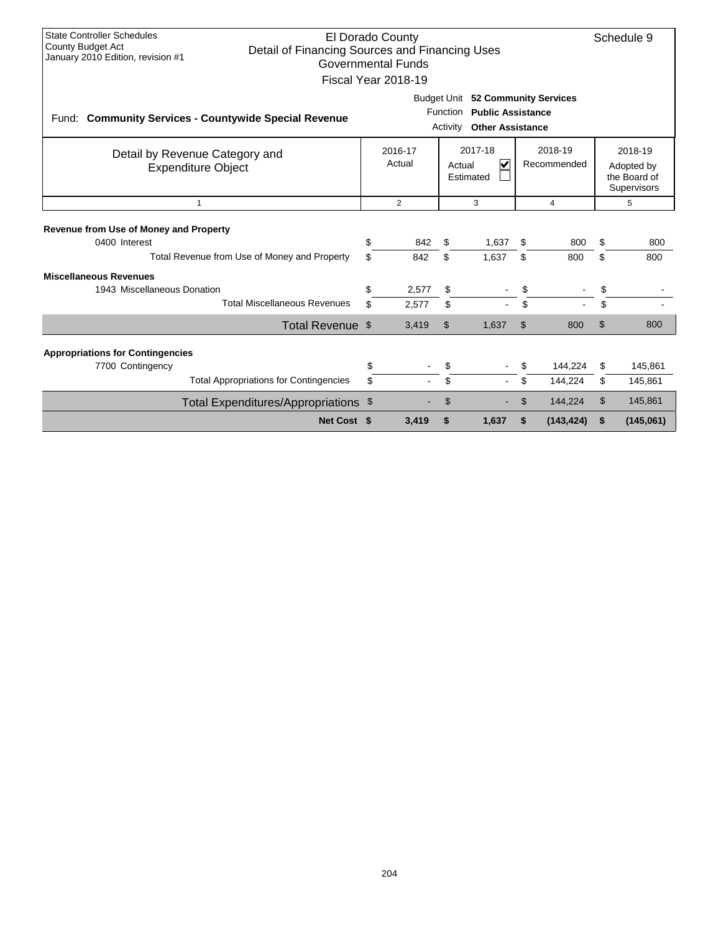| <b>State Controller Schedules</b><br>El Dorado County<br><b>County Budget Act</b><br>Detail of Financing Sources and Financing Uses<br>January 2010 Edition, revision #1<br><b>Governmental Funds</b><br>Fiscal Year 2018-19 |                                                                                                        | Schedule 9                                                                     |                |                |                        |                       |                                                      |                      |
|------------------------------------------------------------------------------------------------------------------------------------------------------------------------------------------------------------------------------|--------------------------------------------------------------------------------------------------------|--------------------------------------------------------------------------------|----------------|----------------|------------------------|-----------------------|------------------------------------------------------|----------------------|
| Fund: Community Services - Countywide Special Revenue                                                                                                                                                                        | Budget Unit 52 Community Services<br>Function Public Assistance<br><b>Other Assistance</b><br>Activity |                                                                                |                |                |                        |                       |                                                      |                      |
| Detail by Revenue Category and<br><b>Expenditure Object</b>                                                                                                                                                                  |                                                                                                        | 2017-18<br>2016-17<br>$\overline{\mathbf{v}}$<br>Actual<br>Actual<br>Estimated |                |                | 2018-19<br>Recommended |                       | 2018-19<br>Adopted by<br>the Board of<br>Supervisors |                      |
| $\overline{1}$                                                                                                                                                                                                               | 2<br>3<br>4                                                                                            |                                                                                |                | 5              |                        |                       |                                                      |                      |
| <b>Revenue from Use of Money and Property</b><br>0400 Interest<br>Total Revenue from Use of Money and Property                                                                                                               | \$<br>\$                                                                                               | 842<br>842                                                                     | \$<br>\$       | 1,637<br>1,637 | \$<br>\$               | 800<br>800            | \$<br>\$                                             | 800<br>800           |
| <b>Miscellaneous Revenues</b><br>1943 Miscellaneous Donation<br><b>Total Miscellaneous Revenues</b>                                                                                                                          | \$<br>\$                                                                                               | 2,577<br>2,577                                                                 | \$<br>\$       |                | S<br>\$                |                       | \$<br>\$                                             |                      |
| Total Revenue \$                                                                                                                                                                                                             |                                                                                                        | 3,419                                                                          | $\mathfrak{L}$ | 1,637          | \$                     | 800                   | \$                                                   | 800                  |
| <b>Appropriations for Contingencies</b><br>7700 Contingency                                                                                                                                                                  | \$                                                                                                     |                                                                                | \$             |                |                        | 144,224               | \$                                                   | 145,861              |
| <b>Total Appropriations for Contingencies</b>                                                                                                                                                                                | \$                                                                                                     |                                                                                | \$             |                | \$                     | 144,224               | \$                                                   | 145,861              |
| Total Expenditures/Appropriations \$<br>Net Cost \$                                                                                                                                                                          |                                                                                                        | 3.419                                                                          | \$<br>\$       | 1,637          | \$                     | 144,224<br>(143, 424) | \$<br>\$                                             | 145,861<br>(145,061) |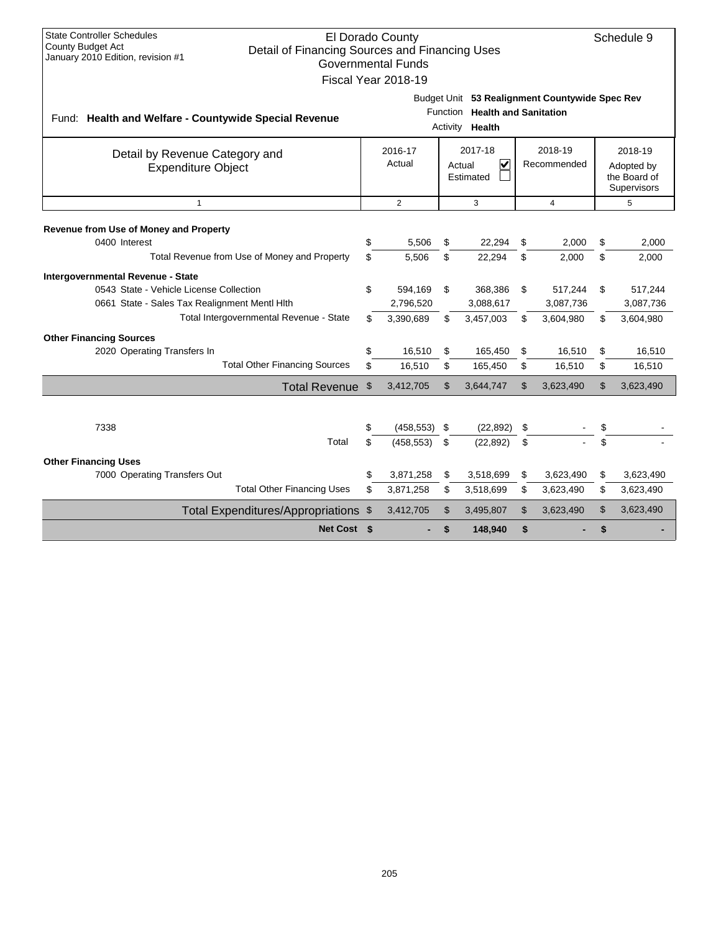| <b>State Controller Schedules</b><br>El Dorado County<br>Schedule 9<br><b>County Budget Act</b><br>Detail of Financing Sources and Financing Uses<br>January 2010 Edition, revision #1<br><b>Governmental Funds</b><br>Fiscal Year 2018-19 |                                                                                                                  |                                   |                |                                                           |                        |                                   |          |                                                      |  |  |
|--------------------------------------------------------------------------------------------------------------------------------------------------------------------------------------------------------------------------------------------|------------------------------------------------------------------------------------------------------------------|-----------------------------------|----------------|-----------------------------------------------------------|------------------------|-----------------------------------|----------|------------------------------------------------------|--|--|
| Fund: Health and Welfare - Countywide Special Revenue                                                                                                                                                                                      | Budget Unit 53 Realignment Countywide Spec Rev<br><b>Health and Sanitation</b><br>Function<br>Health<br>Activity |                                   |                |                                                           |                        |                                   |          |                                                      |  |  |
| Detail by Revenue Category and<br><b>Expenditure Object</b>                                                                                                                                                                                |                                                                                                                  | 2016-17<br>Actual                 |                | 2017-18<br>$\overline{\mathbf{v}}$<br>Actual<br>Estimated | 2018-19<br>Recommended |                                   |          | 2018-19<br>Adopted by<br>the Board of<br>Supervisors |  |  |
| $\mathbf{1}$                                                                                                                                                                                                                               |                                                                                                                  | $\overline{2}$                    |                | 3                                                         | 4                      |                                   |          | 5                                                    |  |  |
| Revenue from Use of Money and Property<br>0400 Interest<br>Total Revenue from Use of Money and Property                                                                                                                                    | \$<br>\$                                                                                                         | 5,506<br>5.506                    | \$<br>\$       | 22.294<br>22,294                                          | \$<br>\$               | 2,000<br>2,000                    | \$<br>\$ | 2,000<br>2.000                                       |  |  |
| Intergovernmental Revenue - State<br>0543 State - Vehicle License Collection<br>0661 State - Sales Tax Realignment Mentl Hith<br>Total Intergovernmental Revenue - State                                                                   | \$<br>\$                                                                                                         | 594,169<br>2,796,520<br>3,390,689 | \$<br>\$       | 368,386<br>3,088,617<br>3,457,003                         | \$<br>\$               | 517,244<br>3,087,736<br>3,604,980 | \$<br>\$ | 517,244<br>3,087,736<br>3,604,980                    |  |  |
| <b>Other Financing Sources</b><br>2020 Operating Transfers In<br><b>Total Other Financing Sources</b>                                                                                                                                      | \$<br>\$                                                                                                         | 16,510<br>16,510                  | \$<br>\$       | 165,450<br>165,450                                        | \$<br>\$               | 16,510<br>16,510                  | \$<br>\$ | 16,510<br>16,510                                     |  |  |
| Total Revenue \$                                                                                                                                                                                                                           |                                                                                                                  | 3,412,705                         | $\mathfrak{L}$ | 3,644,747                                                 | $\mathfrak{L}$         | 3,623,490                         | \$       | 3,623,490                                            |  |  |
| 7338<br>Total                                                                                                                                                                                                                              | \$<br>\$                                                                                                         | $(458, 553)$ \$<br>(458, 553)     | - \$           | (22, 892)<br>(22, 892)                                    | \$<br>\$               |                                   | \$<br>\$ |                                                      |  |  |
| <b>Other Financing Uses</b><br>7000 Operating Transfers Out<br><b>Total Other Financing Uses</b>                                                                                                                                           | \$                                                                                                               | 3,871,258<br>3,871,258            | \$<br>\$       | 3,518,699<br>3,518,699                                    | \$<br>\$               | 3,623,490<br>3,623,490            | \$<br>\$ | 3,623,490<br>3,623,490                               |  |  |
| Total Expenditures/Appropriations \$<br>Net Cost \$                                                                                                                                                                                        |                                                                                                                  | 3,412,705                         | \$<br>\$       | 3,495,807<br>148,940                                      | \$<br>\$               | 3,623,490                         | \$<br>\$ | 3,623,490                                            |  |  |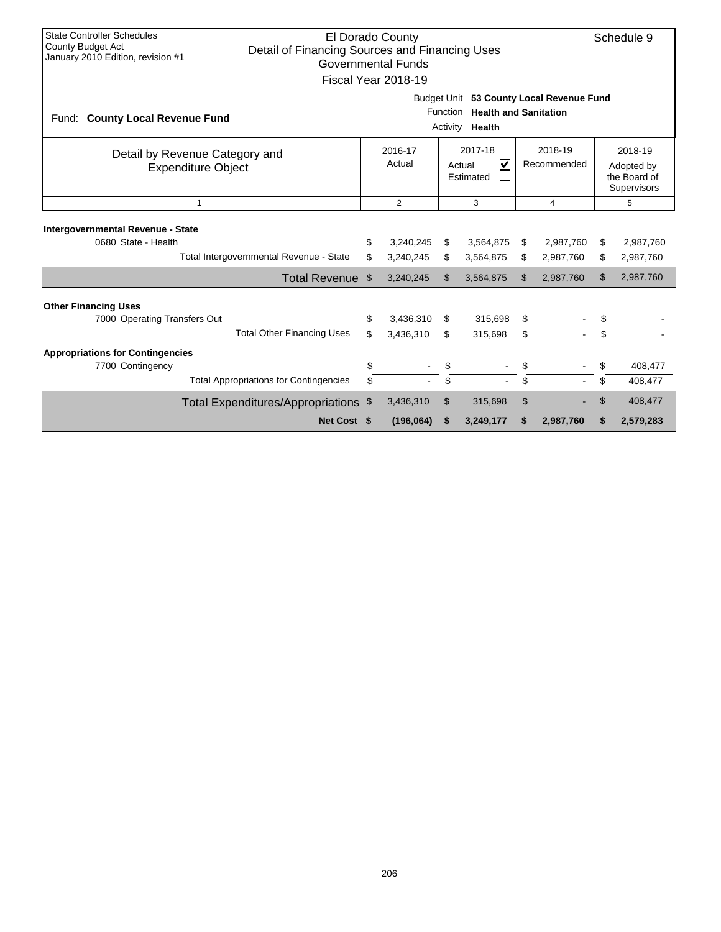| <b>State Controller Schedules</b><br>El Dorado County<br>Schedule 9<br>County Budget Act<br>Detail of Financing Sources and Financing Uses<br>January 2010 Edition, revision #1<br><b>Governmental Funds</b><br>Fiscal Year 2018-19 |                                                                                                            |                        |          |                        |                                                      |                        |          |                        |  |
|-------------------------------------------------------------------------------------------------------------------------------------------------------------------------------------------------------------------------------------|------------------------------------------------------------------------------------------------------------|------------------------|----------|------------------------|------------------------------------------------------|------------------------|----------|------------------------|--|
| Fund: County Local Revenue Fund                                                                                                                                                                                                     | Budget Unit 53 County Local Revenue Fund<br><b>Health and Sanitation</b><br>Function<br>Activity<br>Health |                        |          |                        |                                                      |                        |          |                        |  |
| Detail by Revenue Category and<br><b>Expenditure Object</b>                                                                                                                                                                         | 2017-18<br>2016-17<br>$\overline{\mathsf{v}}$<br>Actual<br>Actual<br>Estimated                             |                        |          | 2018-19<br>Recommended | 2018-19<br>Adopted by<br>the Board of<br>Supervisors |                        |          |                        |  |
| $\mathbf{1}$                                                                                                                                                                                                                        |                                                                                                            | $\overline{2}$         |          | 3                      |                                                      | 4                      |          | 5                      |  |
| Intergovernmental Revenue - State<br>0680 State - Health<br>Total Intergovernmental Revenue - State                                                                                                                                 | \$<br>\$                                                                                                   | 3,240,245<br>3,240,245 | \$<br>\$ | 3,564,875<br>3,564,875 | \$<br>\$                                             | 2,987,760<br>2,987,760 | \$<br>\$ | 2,987,760<br>2,987,760 |  |
| Total Revenue \$                                                                                                                                                                                                                    |                                                                                                            | 3,240,245              | \$       | 3,564,875              | \$.                                                  | 2,987,760              | \$       | 2,987,760              |  |
| <b>Other Financing Uses</b><br>7000 Operating Transfers Out<br><b>Total Other Financing Uses</b>                                                                                                                                    | \$<br>\$                                                                                                   | 3,436,310<br>3,436,310 | \$<br>\$ | 315,698<br>315,698     | \$<br>\$                                             |                        | \$<br>\$ |                        |  |
| <b>Appropriations for Contingencies</b><br>7700 Contingency<br><b>Total Appropriations for Contingencies</b>                                                                                                                        | \$<br>\$                                                                                                   |                        | \$<br>\$ |                        | \$<br>\$                                             |                        | \$<br>\$ | 408,477<br>408,477     |  |
| Total Expenditures/Appropriations \$<br>Net Cost \$                                                                                                                                                                                 |                                                                                                            | 3,436,310<br>(196,064) | \$<br>S  | 315,698<br>3,249,177   | \$<br>S                                              | 2,987,760              | \$<br>\$ | 408,477<br>2,579,283   |  |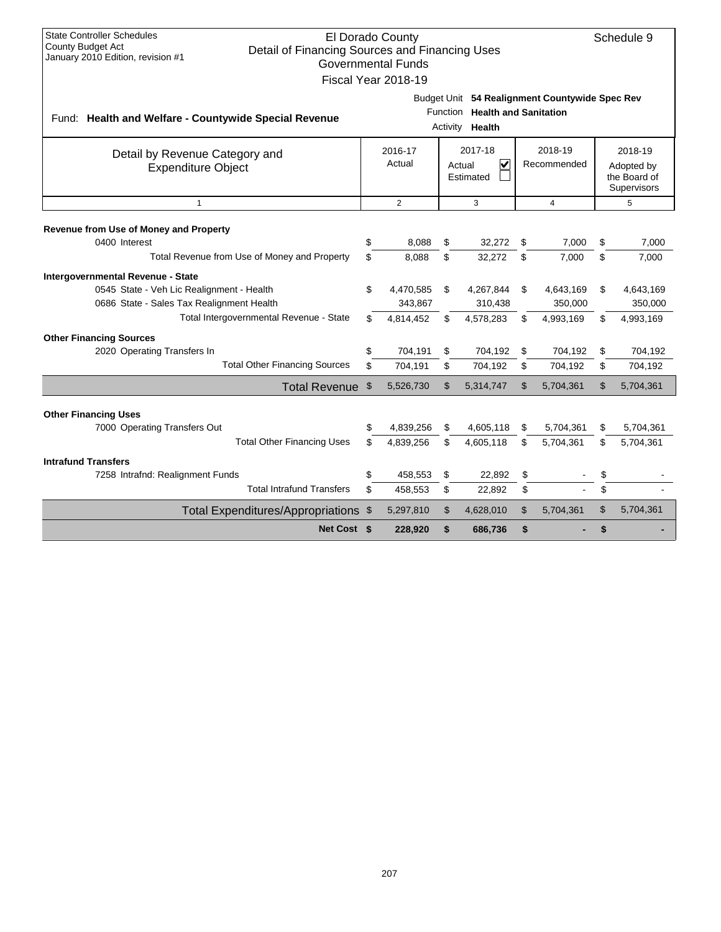| <b>State Controller Schedules</b><br>El Dorado County<br>Schedule 9<br><b>County Budget Act</b><br>Detail of Financing Sources and Financing Uses<br>January 2010 Edition, revision #1<br><b>Governmental Funds</b><br>Fiscal Year 2018-19 |                                                                                                                  |                   |              |                                                           |    |                        |    |                                                      |  |  |
|--------------------------------------------------------------------------------------------------------------------------------------------------------------------------------------------------------------------------------------------|------------------------------------------------------------------------------------------------------------------|-------------------|--------------|-----------------------------------------------------------|----|------------------------|----|------------------------------------------------------|--|--|
| Fund: Health and Welfare - Countywide Special Revenue                                                                                                                                                                                      | Budget Unit 54 Realignment Countywide Spec Rev<br><b>Health and Sanitation</b><br>Function<br>Activity<br>Health |                   |              |                                                           |    |                        |    |                                                      |  |  |
| Detail by Revenue Category and<br><b>Expenditure Object</b>                                                                                                                                                                                |                                                                                                                  | 2016-17<br>Actual |              | 2017-18<br>$\overline{\mathsf{v}}$<br>Actual<br>Estimated |    | 2018-19<br>Recommended |    | 2018-19<br>Adopted by<br>the Board of<br>Supervisors |  |  |
| $\mathbf{1}$                                                                                                                                                                                                                               |                                                                                                                  | $\overline{2}$    |              | 3                                                         |    | $\overline{4}$         |    | 5                                                    |  |  |
| Revenue from Use of Money and Property<br>0400 Interest                                                                                                                                                                                    | \$                                                                                                               | 8.088             | \$           | 32.272                                                    | \$ | 7.000                  | \$ | 7.000                                                |  |  |
| Total Revenue from Use of Money and Property                                                                                                                                                                                               | \$                                                                                                               | 8,088             | \$           | 32,272                                                    | \$ | 7,000                  | \$ | 7,000                                                |  |  |
| Intergovernmental Revenue - State                                                                                                                                                                                                          |                                                                                                                  |                   |              |                                                           |    |                        |    |                                                      |  |  |
| 0545 State - Veh Lic Realignment - Health                                                                                                                                                                                                  | \$                                                                                                               | 4,470,585         | \$           | 4,267,844                                                 | \$ | 4,643,169              | \$ | 4,643,169                                            |  |  |
| 0686 State - Sales Tax Realignment Health                                                                                                                                                                                                  |                                                                                                                  | 343,867           |              | 310,438                                                   |    | 350,000                |    | 350,000                                              |  |  |
| Total Intergovernmental Revenue - State                                                                                                                                                                                                    | \$                                                                                                               | 4,814,452         | \$           | 4,578,283                                                 | \$ | 4,993,169              | \$ | 4,993,169                                            |  |  |
| <b>Other Financing Sources</b>                                                                                                                                                                                                             |                                                                                                                  |                   |              |                                                           |    |                        |    |                                                      |  |  |
| 2020 Operating Transfers In                                                                                                                                                                                                                | \$                                                                                                               | 704,191           | \$           | 704,192                                                   | \$ | 704,192                | \$ | 704,192                                              |  |  |
| <b>Total Other Financing Sources</b>                                                                                                                                                                                                       | \$                                                                                                               | 704,191           | \$           | 704,192                                                   | \$ | 704,192                | \$ | 704,192                                              |  |  |
| Total Revenue \$                                                                                                                                                                                                                           |                                                                                                                  | 5,526,730         | $\mathbb{S}$ | 5,314,747                                                 | \$ | 5,704,361              | \$ | 5,704,361                                            |  |  |
|                                                                                                                                                                                                                                            |                                                                                                                  |                   |              |                                                           |    |                        |    |                                                      |  |  |
| <b>Other Financing Uses</b><br>7000 Operating Transfers Out                                                                                                                                                                                | \$                                                                                                               | 4,839,256         | \$           | 4,605,118                                                 | \$ | 5,704,361              | \$ | 5,704,361                                            |  |  |
| <b>Total Other Financing Uses</b>                                                                                                                                                                                                          | \$                                                                                                               | 4,839,256         | \$           | 4,605,118                                                 | \$ | 5,704,361              | \$ | 5,704,361                                            |  |  |
| <b>Intrafund Transfers</b>                                                                                                                                                                                                                 |                                                                                                                  |                   |              |                                                           |    |                        |    |                                                      |  |  |
| 7258 Intrafnd: Realignment Funds                                                                                                                                                                                                           | \$                                                                                                               | 458,553           | \$           | 22,892                                                    | \$ |                        | \$ |                                                      |  |  |
| <b>Total Intrafund Transfers</b>                                                                                                                                                                                                           | \$                                                                                                               | 458,553           | \$           | 22,892                                                    | \$ |                        | \$ |                                                      |  |  |
| Total Expenditures/Appropriations \$                                                                                                                                                                                                       |                                                                                                                  | 5,297,810         | \$           | 4,628,010                                                 | \$ | 5,704,361              | \$ | 5,704,361                                            |  |  |
| Net Cost \$                                                                                                                                                                                                                                |                                                                                                                  | 228,920           | \$           | 686,736                                                   | \$ |                        | \$ |                                                      |  |  |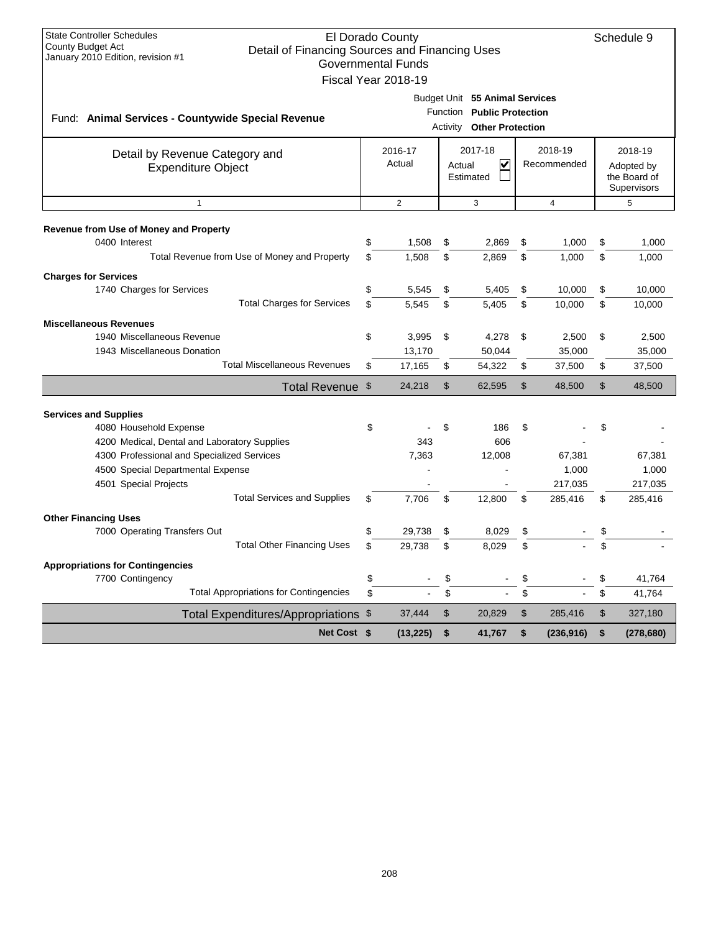| <b>State Controller Schedules</b><br>El Dorado County<br><b>County Budget Act</b><br>Detail of Financing Sources and Financing Uses<br>January 2010 Edition, revision #1<br><b>Governmental Funds</b><br>Fiscal Year 2018-19 |          |                   |          |                                                |          |                        |                                                      |                  |  |
|------------------------------------------------------------------------------------------------------------------------------------------------------------------------------------------------------------------------------|----------|-------------------|----------|------------------------------------------------|----------|------------------------|------------------------------------------------------|------------------|--|
| Budget Unit 55 Animal Services<br>Function Public Protection<br>Fund: Animal Services - Countywide Special Revenue<br><b>Activity Other Protection</b>                                                                       |          |                   |          |                                                |          |                        |                                                      |                  |  |
| Detail by Revenue Category and<br><b>Expenditure Object</b>                                                                                                                                                                  |          | 2016-17<br>Actual |          | 2017-18<br>$\checkmark$<br>Actual<br>Estimated |          | 2018-19<br>Recommended | 2018-19<br>Adopted by<br>the Board of<br>Supervisors |                  |  |
| $\mathbf{1}$                                                                                                                                                                                                                 |          | $\overline{2}$    |          | 3                                              |          | $\overline{4}$         |                                                      | 5                |  |
| Revenue from Use of Money and Property<br>0400 Interest<br>Total Revenue from Use of Money and Property                                                                                                                      | \$<br>\$ | 1,508<br>1,508    | \$<br>\$ | 2,869<br>2,869                                 | \$<br>\$ | 1,000<br>1,000         | \$<br>\$                                             | 1,000<br>1,000   |  |
| <b>Charges for Services</b><br>1740 Charges for Services<br><b>Total Charges for Services</b>                                                                                                                                | \$<br>\$ | 5,545<br>5,545    | \$<br>\$ | 5,405<br>5,405                                 | \$<br>\$ | 10,000<br>10,000       | \$<br>\$                                             | 10.000<br>10,000 |  |
|                                                                                                                                                                                                                              |          |                   |          |                                                |          |                        |                                                      |                  |  |
| <b>Miscellaneous Revenues</b>                                                                                                                                                                                                |          |                   |          |                                                |          |                        |                                                      |                  |  |
| 1940 Miscellaneous Revenue                                                                                                                                                                                                   | \$       | 3,995             | \$       | 4,278                                          | \$       | 2,500                  | \$                                                   | 2,500            |  |
| 1943 Miscellaneous Donation                                                                                                                                                                                                  |          | 13,170            |          | 50,044                                         |          | 35,000                 |                                                      | 35,000           |  |
| <b>Total Miscellaneous Revenues</b>                                                                                                                                                                                          | \$       | 17,165            | \$       | 54,322                                         | \$       | 37,500                 | \$                                                   | 37,500           |  |
| Total Revenue \$                                                                                                                                                                                                             |          | 24,218            | \$       | 62,595                                         | \$       | 48,500                 | \$                                                   | 48,500           |  |
| <b>Services and Supplies</b>                                                                                                                                                                                                 |          |                   |          |                                                |          |                        |                                                      |                  |  |
| 4080 Household Expense                                                                                                                                                                                                       | \$       |                   | \$       | 186                                            | \$       |                        | \$                                                   |                  |  |
| 4200 Medical, Dental and Laboratory Supplies                                                                                                                                                                                 |          | 343               |          | 606                                            |          |                        |                                                      |                  |  |
| 4300 Professional and Specialized Services                                                                                                                                                                                   |          | 7,363             |          | 12,008                                         |          | 67,381                 |                                                      | 67,381           |  |
| 4500 Special Departmental Expense                                                                                                                                                                                            |          |                   |          |                                                |          | 1,000                  |                                                      | 1,000            |  |
| 4501 Special Projects                                                                                                                                                                                                        |          |                   |          |                                                |          | 217,035                |                                                      | 217,035          |  |
| <b>Total Services and Supplies</b>                                                                                                                                                                                           | \$       | 7,706             | \$       | 12,800                                         | \$       | 285,416                | \$                                                   | 285,416          |  |
| <b>Other Financing Uses</b>                                                                                                                                                                                                  |          |                   |          |                                                |          |                        |                                                      |                  |  |
| 7000 Operating Transfers Out                                                                                                                                                                                                 | \$       | 29,738            | \$       | 8,029                                          | \$       |                        | \$                                                   |                  |  |
| <b>Total Other Financing Uses</b>                                                                                                                                                                                            | \$       | 29,738            | \$       | 8.029                                          | \$       |                        | \$                                                   |                  |  |
|                                                                                                                                                                                                                              |          |                   |          |                                                |          |                        |                                                      |                  |  |
| <b>Appropriations for Contingencies</b><br>7700 Contingency                                                                                                                                                                  | \$       |                   | \$       |                                                | \$       |                        | \$                                                   | 41,764           |  |
| <b>Total Appropriations for Contingencies</b>                                                                                                                                                                                | \$       |                   | \$       |                                                | \$       |                        | \$                                                   | 41,764           |  |
| Total Expenditures/Appropriations \$                                                                                                                                                                                         |          | 37,444            | $\,$     | 20,829                                         | \$       | 285,416                | \$                                                   | 327,180          |  |
| Net Cost \$                                                                                                                                                                                                                  |          | (13, 225)         | \$       | 41,767                                         | \$       | (236, 916)             | \$                                                   | (278, 680)       |  |